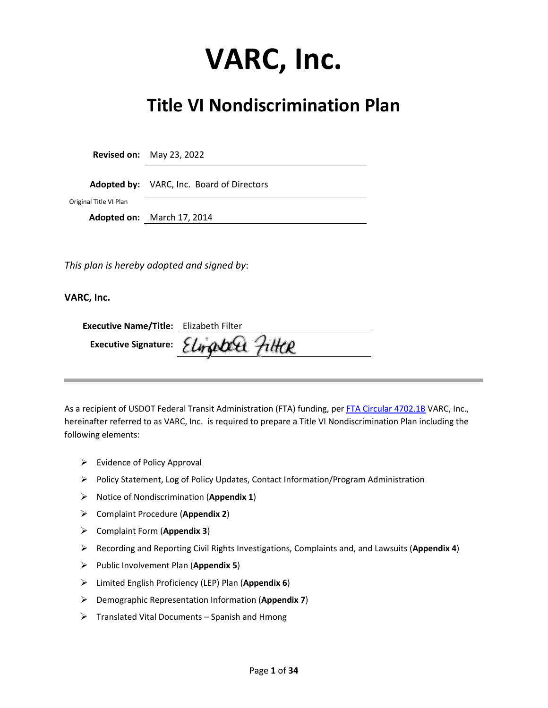# **VARC, Inc.**

## **Title VI Nondiscrimination Plan**

**Revised on:** May 23, 2022

**Adopted by:** VARC, Inc. Board of Directors

Original Title VI Plan

**Adopted on:** March 17, 2014

*This plan is hereby adopted and signed by*:

**VARC, Inc.** 

| <b>Executive Name/Title:</b> Elizabeth Filter |                                      |
|-----------------------------------------------|--------------------------------------|
|                                               | Executive Signature: Elinabel FilteR |

As a recipient of USDOT Federal Transit Administration (FTA) funding, per [FTA Circular 4702.1B](https://www.transit.dot.gov/sites/fta.dot.gov/files/docs/FTA_Title_VI_FINAL.pdf) VARC, Inc., hereinafter referred to as VARC, Inc. is required to prepare a Title VI Nondiscrimination Plan including the following elements:

- $\triangleright$  Evidence of Policy Approval
- $\triangleright$  Policy Statement, Log of Policy Updates, Contact Information/Program Administration
- Notice of Nondiscrimination (**Appendix 1**)
- Complaint Procedure (**Appendix 2**)
- Complaint Form (**Appendix 3**)
- Recording and Reporting Civil Rights Investigations, Complaints and, and Lawsuits (**Appendix 4**)
- Public Involvement Plan (**Appendix 5**)
- Limited English Proficiency (LEP) Plan (**Appendix 6**)
- Demographic Representation Information (**Appendix 7**)
- $\triangleright$  Translated Vital Documents Spanish and Hmong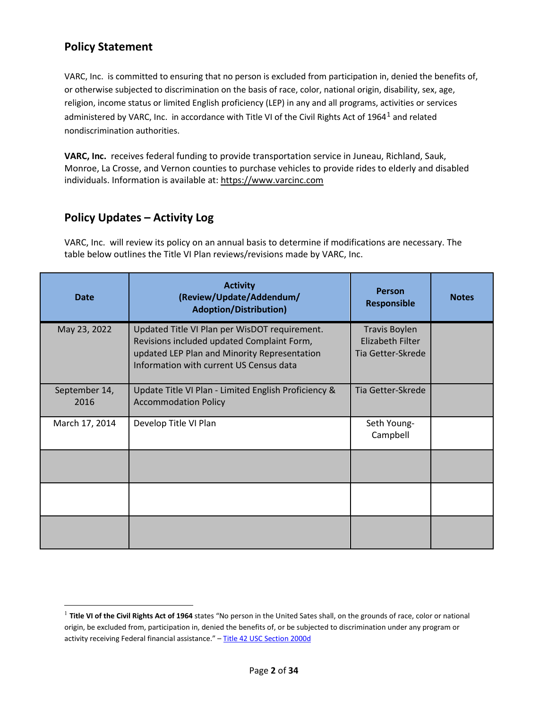## **Policy Statement**

VARC, Inc. is committed to ensuring that no person is excluded from participation in, denied the benefits of, or otherwise subjected to discrimination on the basis of race, color, national origin, disability, sex, age, religion, income status or limited English proficiency (LEP) in any and all programs, activities or services administered by VARC, Inc. in accordance with Title VI of the Civil Rights Act of [1](#page-1-0)964<sup>1</sup> and related nondiscrimination authorities.

**VARC, Inc.** receives federal funding to provide transportation service in Juneau, Richland, Sauk, Monroe, La Crosse, and Vernon counties to purchase vehicles to provide rides to elderly and disabled individuals. Information is available at[: https://www.varcinc.com](https://www.varcinc.com/)

## **Policy Updates – Activity Log**

l

VARC, Inc. will review its policy on an annual basis to determine if modifications are necessary. The table below outlines the Title VI Plan reviews/revisions made by VARC, Inc.

| Date                  | <b>Activity</b><br>(Review/Update/Addendum/<br><b>Adoption/Distribution)</b>                                                                                                           | <b>Person</b><br><b>Responsible</b>                                  | <b>Notes</b> |
|-----------------------|----------------------------------------------------------------------------------------------------------------------------------------------------------------------------------------|----------------------------------------------------------------------|--------------|
| May 23, 2022          | Updated Title VI Plan per WisDOT requirement.<br>Revisions included updated Complaint Form,<br>updated LEP Plan and Minority Representation<br>Information with current US Census data | <b>Travis Boylen</b><br><b>Elizabeth Filter</b><br>Tia Getter-Skrede |              |
| September 14,<br>2016 | Update Title VI Plan - Limited English Proficiency &<br><b>Accommodation Policy</b>                                                                                                    | Tia Getter-Skrede                                                    |              |
| March 17, 2014        | Develop Title VI Plan                                                                                                                                                                  | Seth Young-<br>Campbell                                              |              |
|                       |                                                                                                                                                                                        |                                                                      |              |
|                       |                                                                                                                                                                                        |                                                                      |              |
|                       |                                                                                                                                                                                        |                                                                      |              |

<span id="page-1-0"></span><sup>1</sup> **Title VI of the Civil Rights Act of 1964** states "No person in the United Sates shall, on the grounds of race, color or national origin, be excluded from, participation in, denied the benefits of, or be subjected to discrimination under any program or activity receiving Federal financial assistance." - [Title 42 USC Section 2000d](https://www.justice.gov/crt/fcs/TitleVI-Overview)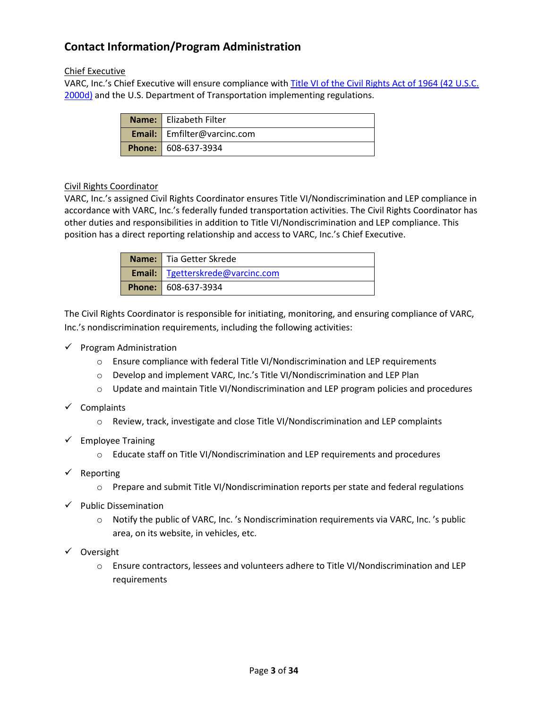## **Contact Information/Program Administration**

#### Chief Executive

VARC, Inc.'s Chief Executive will ensure compliance with Title VI of the Civil Rights Act of 1964 (42 U.S.C. [2000d\)](https://www.justice.gov/crt/fcs/TitleVI-Overview) and the U.S. Department of Transportation implementing regulations.

| Name: Elizabeth Filter             |
|------------------------------------|
| <b>Email:</b> Emfilter@varcinc.com |
| <b>Phone: 608-637-3934</b>         |

#### Civil Rights Coordinator

VARC, Inc.'s assigned Civil Rights Coordinator ensures Title VI/Nondiscrimination and LEP compliance in accordance with VARC, Inc.'s federally funded transportation activities. The Civil Rights Coordinator has other duties and responsibilities in addition to Title VI/Nondiscrimination and LEP compliance. This position has a direct reporting relationship and access to VARC, Inc.'s Chief Executive.

| Name: Tia Getter Skrede                   |
|-------------------------------------------|
| <b>Email:</b>   Tgetterskrede@varcinc.com |
| <b>Phone: 608-637-3934</b>                |

The Civil Rights Coordinator is responsible for initiating, monitoring, and ensuring compliance of VARC, Inc.'s nondiscrimination requirements, including the following activities:

- $\checkmark$  Program Administration
	- o Ensure compliance with federal Title VI/Nondiscrimination and LEP requirements
	- o Develop and implement VARC, Inc.'s Title VI/Nondiscrimination and LEP Plan
	- $\circ$  Update and maintain Title VI/Nondiscrimination and LEP program policies and procedures
- $\checkmark$  Complaints
	- o Review, track, investigate and close Title VI/Nondiscrimination and LEP complaints
- $\checkmark$  Employee Training
	- o Educate staff on Title VI/Nondiscrimination and LEP requirements and procedures
- $\checkmark$  Reporting
	- o Prepare and submit Title VI/Nondiscrimination reports per state and federal regulations
- $\checkmark$  Public Dissemination
	- o Notify the public of VARC, Inc. 's Nondiscrimination requirements via VARC, Inc. 's public area, on its website, in vehicles, etc.
- $\checkmark$  Oversight
	- o Ensure contractors, lessees and volunteers adhere to Title VI/Nondiscrimination and LEP requirements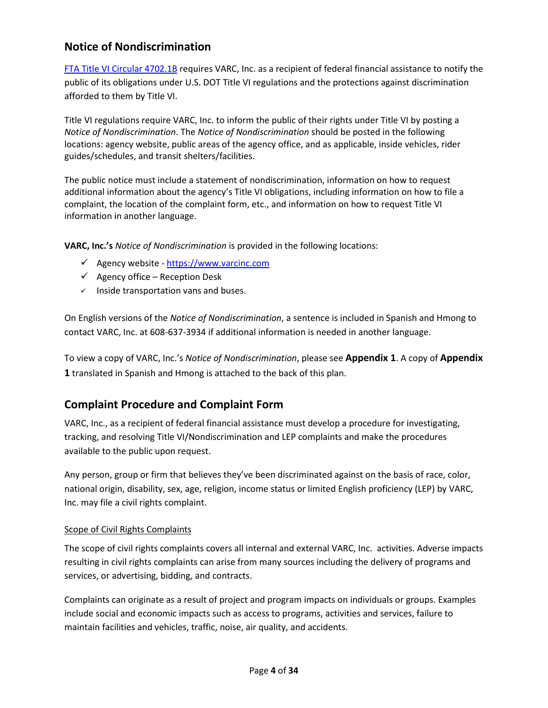## **Notice of Nondiscrimination**

[FTA Title VI Circular 4702.1B](https://www.transit.dot.gov/sites/fta.dot.gov/files/docs/FTA_Title_VI_FINAL.pdf) requires VARC, Inc. as a recipient of federal financial assistance to notify the public of its obligations under U.S. DOT Title VI regulations and the protections against discrimination afforded to them by Title VI.

Title VI regulations require VARC, Inc. to inform the public of their rights under Title VI by posting a *Notice of Nondiscrimination*. The *Notice of Nondiscrimination* should be posted in the following locations: agency website, public areas of the agency office, and as applicable, inside vehicles, rider guides/schedules, and transit shelters/facilities.

The public notice must include a statement of nondiscrimination, information on how to request additional information about the agency's Title VI obligations, including information on how to file a complaint, the location of the complaint form, etc., and information on how to request Title VI information in another language.

**VARC, Inc.'s** *Notice of Nondiscrimination* is provided in the following locations:

- $\checkmark$  Agency website [https://www.varcinc.com](https://www.varcinc.com/)
- $\checkmark$  Agency office Reception Desk
- $\checkmark$  Inside transportation vans and buses.

On English versions of the *Notice of Nondiscrimination*, a sentence is included in Spanish and Hmong to contact VARC, Inc. at 608-637-3934 if additional information is needed in another language.

To view a copy of VARC, Inc.'s *Notice of Nondiscrimination*, please see **Appendix 1**. A copy of **Appendix 1** translated in Spanish and Hmong is attached to the back of this plan.

## **Complaint Procedure and Complaint Form**

VARC, Inc., as a recipient of federal financial assistance must develop a procedure for investigating, tracking, and resolving Title VI/Nondiscrimination and LEP complaints and make the procedures available to the public upon request.

Any person, group or firm that believes they've been discriminated against on the basis of race, color, national origin, disability, sex, age, religion, income status or limited English proficiency (LEP) by VARC, Inc. may file a civil rights complaint.

#### Scope of Civil Rights Complaints

The scope of civil rights complaints covers all internal and external VARC, Inc. activities. Adverse impacts resulting in civil rights complaints can arise from many sources including the delivery of programs and services, or advertising, bidding, and contracts.

Complaints can originate as a result of project and program impacts on individuals or groups. Examples include social and economic impacts such as access to programs, activities and services, failure to maintain facilities and vehicles, traffic, noise, air quality, and accidents.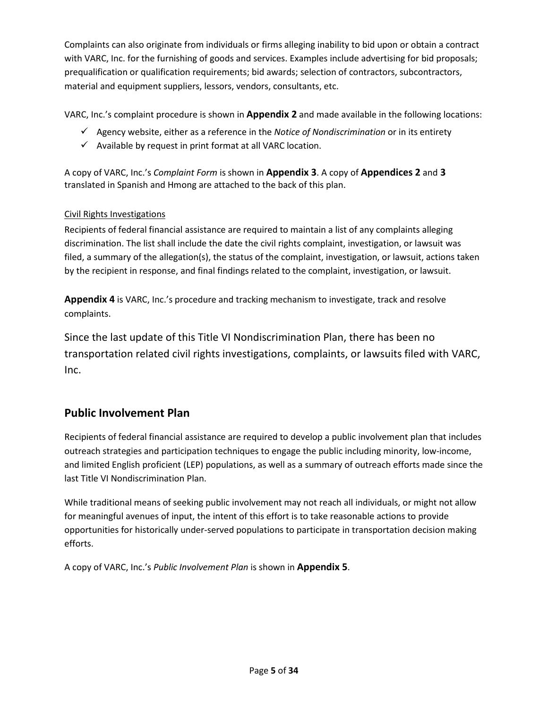Complaints can also originate from individuals or firms alleging inability to bid upon or obtain a contract with VARC, Inc. for the furnishing of goods and services. Examples include advertising for bid proposals; prequalification or qualification requirements; bid awards; selection of contractors, subcontractors, material and equipment suppliers, lessors, vendors, consultants, etc.

VARC, Inc.'s complaint procedure is shown in **Appendix 2** and made available in the following locations:

- Agency website, either as a reference in the *Notice of Nondiscrimination* or in its entirety
- $\checkmark$  Available by request in print format at all VARC location.

A copy of VARC, Inc.'s *Complaint Form* is shown in **Appendix 3**. A copy of **Appendices 2** and **3** translated in Spanish and Hmong are attached to the back of this plan.

#### Civil Rights Investigations

Recipients of federal financial assistance are required to maintain a list of any complaints alleging discrimination. The list shall include the date the civil rights complaint, investigation, or lawsuit was filed, a summary of the allegation(s), the status of the complaint, investigation, or lawsuit, actions taken by the recipient in response, and final findings related to the complaint, investigation, or lawsuit.

**Appendix 4** is VARC, Inc.'s procedure and tracking mechanism to investigate, track and resolve complaints.

Since the last update of this Title VI Nondiscrimination Plan, there has been no transportation related civil rights investigations, complaints, or lawsuits filed with VARC, Inc.

### **Public Involvement Plan**

Recipients of federal financial assistance are required to develop a public involvement plan that includes outreach strategies and participation techniques to engage the public including minority, low-income, and limited English proficient (LEP) populations, as well as a summary of outreach efforts made since the last Title VI Nondiscrimination Plan.

While traditional means of seeking public involvement may not reach all individuals, or might not allow for meaningful avenues of input, the intent of this effort is to take reasonable actions to provide opportunities for historically under-served populations to participate in transportation decision making efforts.

A copy of VARC, Inc.'s *Public Involvement Plan* is shown in **Appendix 5**.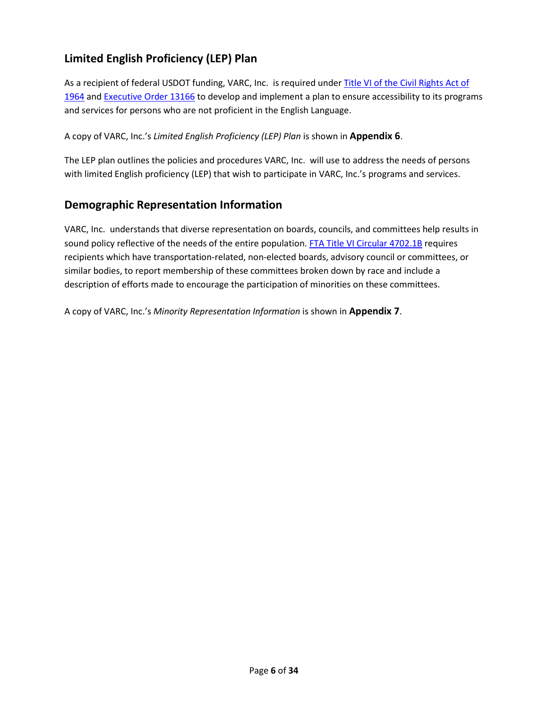## **Limited English Proficiency (LEP) Plan**

As a recipient of federal USDOT funding, VARC, Inc. is required under Title VI of the Civil Rights Act of [1964](https://www.justice.gov/crt/fcs/TitleVI) and [Executive Order 13166](https://www.justice.gov/crt/executive-order-13166) to develop and implement a plan to ensure accessibility to its programs and services for persons who are not proficient in the English Language.

A copy of VARC, Inc.'s *Limited English Proficiency (LEP) Plan* is shown in **Appendix 6**.

The LEP plan outlines the policies and procedures VARC, Inc. will use to address the needs of persons with limited English proficiency (LEP) that wish to participate in VARC, Inc.'s programs and services.

### **Demographic Representation Information**

VARC, Inc. understands that diverse representation on boards, councils, and committees help results in sound policy reflective of the needs of the entire population. [FTA Title VI Circular 4702.1B](https://www.transit.dot.gov/sites/fta.dot.gov/files/docs/FTA_Title_VI_FINAL.pdf) requires recipients which have transportation-related, non-elected boards, advisory council or committees, or similar bodies, to report membership of these committees broken down by race and include a description of efforts made to encourage the participation of minorities on these committees.

A copy of VARC, Inc.'s *Minority Representation Information* is shown in **Appendix 7**.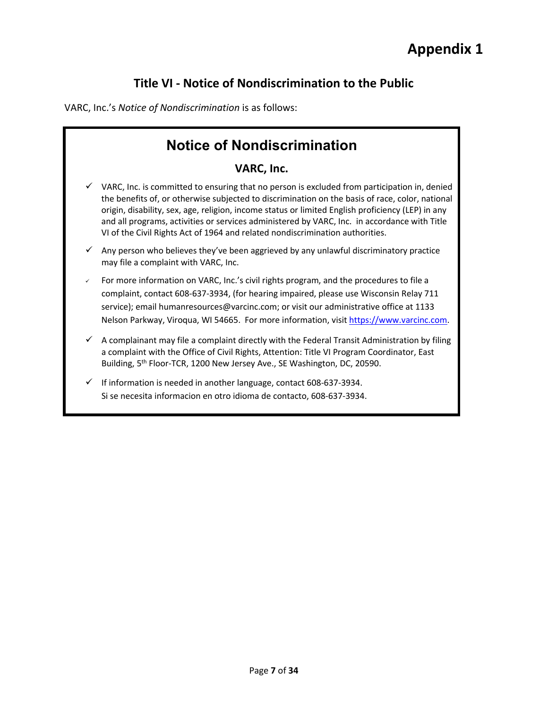## **Title VI - Notice of Nondiscrimination to the Public**

VARC, Inc.'s *Notice of Nondiscrimination* is as follows:

## **Notice of Nondiscrimination VARC, Inc.**  VARC, Inc. is committed to ensuring that no person is excluded from participation in, denied the benefits of, or otherwise subjected to discrimination on the basis of race, color, national origin, disability, sex, age, religion, income status or limited English proficiency (LEP) in any and all programs, activities or services administered by VARC, Inc. in accordance with Title VI of the Civil Rights Act of 1964 and related nondiscrimination authorities. Any person who believes they've been aggrieved by any unlawful discriminatory practice may file a complaint with VARC, Inc. For more information on VARC, Inc.'s civil rights program, and the procedures to file a complaint, contact 608-637-3934, (for hearing impaired, please use Wisconsin Relay 711 service); email humanresources@varcinc.com; or visit our administrative office at 1133 Nelson Parkway, Viroqua, WI 54665. For more information, visit [https://www.varcinc.com.](https://www.varcinc.com/)  $\checkmark$  A complainant may file a complaint directly with the Federal Transit Administration by filing a complaint with the Office of Civil Rights, Attention: Title VI Program Coordinator, East Building, 5<sup>th</sup> Floor-TCR, 1200 New Jersey Ave., SE Washington, DC, 20590. If information is needed in another language, contact 608-637-3934. Si se necesita informacion en otro idioma de contacto, 608-637-3934.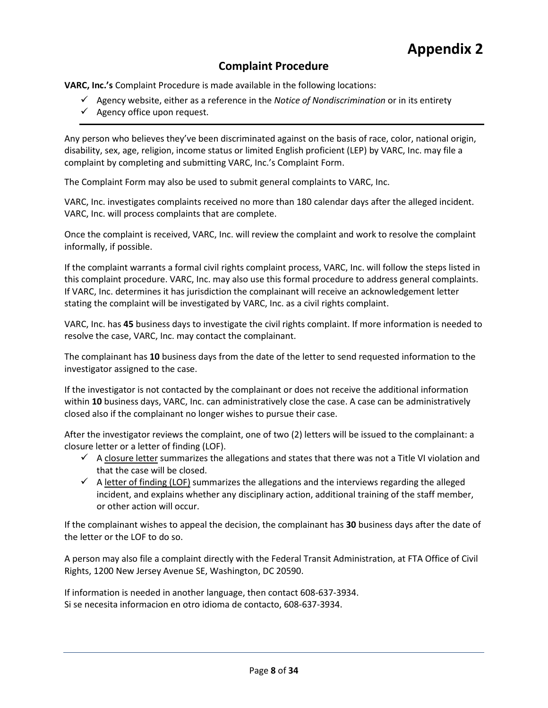## **Complaint Procedure**

**VARC, Inc.'s** Complaint Procedure is made available in the following locations:

- Agency website, either as a reference in the *Notice of Nondiscrimination* or in its entirety
- $\checkmark$  Agency office upon request.

Any person who believes they've been discriminated against on the basis of race, color, national origin, disability, sex, age, religion, income status or limited English proficient (LEP) by VARC, Inc. may file a complaint by completing and submitting VARC, Inc.'s Complaint Form.

The Complaint Form may also be used to submit general complaints to VARC, Inc.

VARC, Inc. investigates complaints received no more than 180 calendar days after the alleged incident. VARC, Inc. will process complaints that are complete.

Once the complaint is received, VARC, Inc. will review the complaint and work to resolve the complaint informally, if possible.

If the complaint warrants a formal civil rights complaint process, VARC, Inc. will follow the steps listed in this complaint procedure. VARC, Inc. may also use this formal procedure to address general complaints. If VARC, Inc. determines it has jurisdiction the complainant will receive an acknowledgement letter stating the complaint will be investigated by VARC, Inc. as a civil rights complaint.

VARC, Inc. has **45** business days to investigate the civil rights complaint. If more information is needed to resolve the case, VARC, Inc. may contact the complainant.

The complainant has **10** business days from the date of the letter to send requested information to the investigator assigned to the case.

If the investigator is not contacted by the complainant or does not receive the additional information within **10** business days, VARC, Inc. can administratively close the case. A case can be administratively closed also if the complainant no longer wishes to pursue their case.

After the investigator reviews the complaint, one of two (2) letters will be issued to the complainant: a closure letter or a letter of finding (LOF).

- $\checkmark$  A closure letter summarizes the allegations and states that there was not a Title VI violation and that the case will be closed.
- $\checkmark$  A letter of finding (LOF) summarizes the allegations and the interviews regarding the alleged incident, and explains whether any disciplinary action, additional training of the staff member, or other action will occur.

If the complainant wishes to appeal the decision, the complainant has **30** business days after the date of the letter or the LOF to do so.

A person may also file a complaint directly with the Federal Transit Administration, at FTA Office of Civil Rights, 1200 New Jersey Avenue SE, Washington, DC 20590.

If information is needed in another language, then contact 608-637-3934. Si se necesita informacion en otro idioma de contacto, 608-637-3934.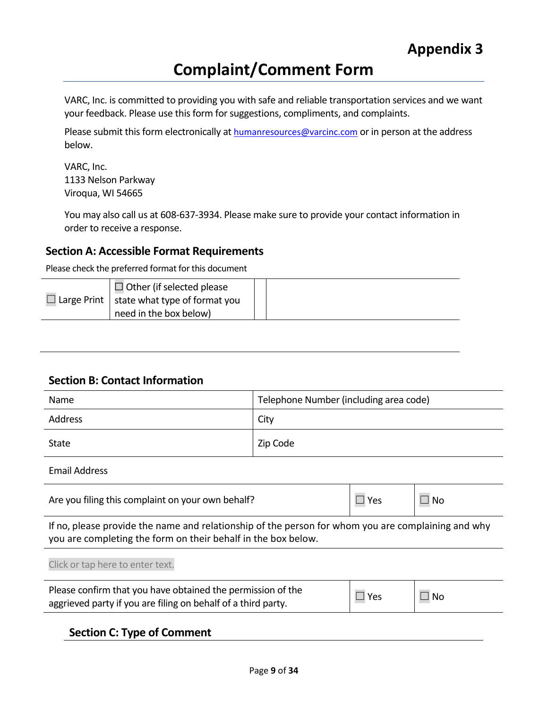## **Complaint/Comment Form**

VARC, Inc. is committed to providing you with safe and reliable transportation services and we want your feedback. Please use this form for suggestions, compliments, and complaints.

Please submit this form electronically at **humanresources@varcinc.com** or in person at the address below.

VARC, Inc. 1133 Nelson Parkway Viroqua, WI 54665

You may also call us at 608-637-3934. Please make sure to provide your contact information in order to receive a response.

#### **Section A: Accessible Format Requirements**

Please check the preferred format for this document

| $\Box$ Other (if selected please                   |  |
|----------------------------------------------------|--|
| $\Box$ Large Print   state what type of format you |  |
| need in the box below)                             |  |

#### **Section B: Contact Information**

| Name    | Telephone Number (including area code) |
|---------|----------------------------------------|
| Address | City                                   |
| State   | Zip Code                               |

Email Address

| Are you filing this complaint on your own behalf? | $\Box$ Yes | $\Box$ No |
|---------------------------------------------------|------------|-----------|
|---------------------------------------------------|------------|-----------|

If no, please provide the name and relationship of the person for whom you are complaining and why you are completing the form on their behalf in the box below.

| Please confirm that you have obtained the permission of the<br>aggrieved party if you are filing on behalf of a third party. | $\square$ Yes | $\Box$ No |
|------------------------------------------------------------------------------------------------------------------------------|---------------|-----------|

| <b>Section C: Type of Comment</b> |  |
|-----------------------------------|--|
|-----------------------------------|--|

Click or tap here to enter text.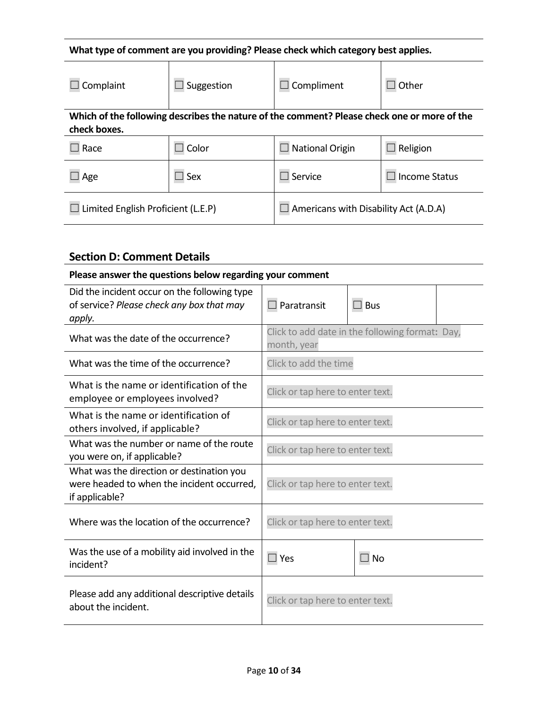## **What type of comment are you providing? Please check which category best applies.**

| Complaint                          | Suggestion    | Compliment                                                                                  | Other                |
|------------------------------------|---------------|---------------------------------------------------------------------------------------------|----------------------|
| check boxes.                       |               | Which of the following describes the nature of the comment? Please check one or more of the |                      |
| Race                               | $\Box$ Color  | <b>National Origin</b>                                                                      | Religion             |
| Age                                | $\square$ Sex | Service                                                                                     | <b>Income Status</b> |
| Limited English Proficient (L.E.P) |               | Americans with Disability Act (A.D.A)                                                       |                      |

## **Section D: Comment Details**

| Please answer the questions below regarding your comment                                                  |                                  |                                                 |  |
|-----------------------------------------------------------------------------------------------------------|----------------------------------|-------------------------------------------------|--|
| Did the incident occur on the following type<br>of service? Please check any box that may<br>apply.       | Paratransit                      | $\Box$ Bus                                      |  |
| What was the date of the occurrence?                                                                      | month, year                      | Click to add date in the following format: Day, |  |
| What was the time of the occurrence?                                                                      | Click to add the time            |                                                 |  |
| What is the name or identification of the<br>employee or employees involved?                              | Click or tap here to enter text. |                                                 |  |
| What is the name or identification of<br>others involved, if applicable?                                  | Click or tap here to enter text. |                                                 |  |
| What was the number or name of the route<br>you were on, if applicable?                                   | Click or tap here to enter text. |                                                 |  |
| What was the direction or destination you<br>were headed to when the incident occurred,<br>if applicable? | Click or tap here to enter text. |                                                 |  |
| Where was the location of the occurrence?                                                                 | Click or tap here to enter text. |                                                 |  |
| Was the use of a mobility aid involved in the<br>incident?                                                | $\Box$ Yes                       | $\Box$ No                                       |  |
| Please add any additional descriptive details<br>about the incident.                                      | Click or tap here to enter text. |                                                 |  |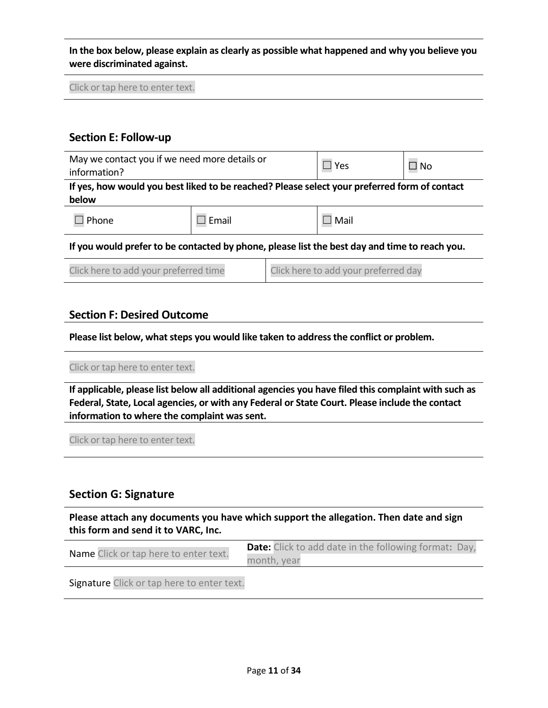**In the box below, please explain as clearly as possible what happened and why you believe you were discriminated against.**

Click or tap here to enter text.

#### **Section E: Follow-up**

| May we contact you if we need more details or<br>information?                                         |         | $\Box$ Yes | ⊿ No |
|-------------------------------------------------------------------------------------------------------|---------|------------|------|
| If yes, how would you best liked to be reached? Please select your preferred form of contact<br>below |         |            |      |
| Phone                                                                                                 | ] Email | ] Mail     |      |

**If you would prefer to be contacted by phone, please list the best day and time to reach you.**

| Click here to add your preferred time | Click here to add your preferred day |
|---------------------------------------|--------------------------------------|
|---------------------------------------|--------------------------------------|

#### **Section F: Desired Outcome**

**Please list below, what steps you would like taken to address the conflict or problem.**

#### Click or tap here to enter text.

**If applicable, please list below all additional agencies you have filed this complaint with such as Federal, State, Local agencies, or with any Federal or State Court. Please include the contact information to where the complaint was sent.** 

Click or tap here to enter text.

#### **Section G: Signature**

**Please attach any documents you have which support the allegation. Then date and sign this form and send it to VARC, Inc.** 

| <b>Name</b> Click or tap here to enter text. | <b>Date:</b> Click to add date in the following format: Day, |
|----------------------------------------------|--------------------------------------------------------------|
|                                              | month, year                                                  |

Signature Click or tap here to enter text.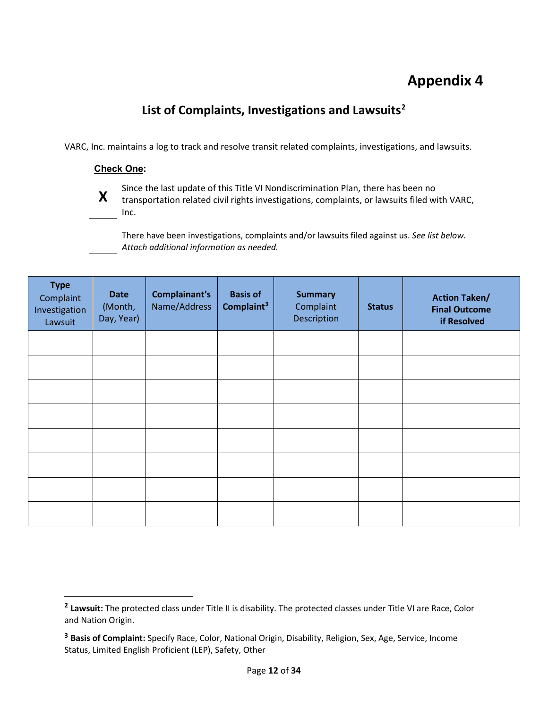## **Appendix 4**

## **List of Complaints, Investigations and Lawsuits[2](#page-11-0)**

VARC, Inc. maintains a log to track and resolve transit related complaints, investigations, and lawsuits.

#### **Check One:**



l

Since the last update of this Title VI Nondiscrimination Plan, there has been no<br>**X** transportation related civil rights investigations, complaints, or lawsuits filed with VARC, Inc.

There have been investigations, complaints and/or lawsuits filed against us. *See list below. Attach additional information as needed.*

| <b>Type</b><br>Complaint<br>Investigation<br>Lawsuit | <b>Date</b><br>(Month,<br>Day, Year) | Complainant's<br>Name/Address | <b>Basis of</b><br>Complaint <sup>3</sup> | <b>Summary</b><br>Complaint<br>Description | <b>Status</b> | <b>Action Taken/</b><br><b>Final Outcome</b><br>if Resolved |
|------------------------------------------------------|--------------------------------------|-------------------------------|-------------------------------------------|--------------------------------------------|---------------|-------------------------------------------------------------|
|                                                      |                                      |                               |                                           |                                            |               |                                                             |
|                                                      |                                      |                               |                                           |                                            |               |                                                             |
|                                                      |                                      |                               |                                           |                                            |               |                                                             |
|                                                      |                                      |                               |                                           |                                            |               |                                                             |
|                                                      |                                      |                               |                                           |                                            |               |                                                             |
|                                                      |                                      |                               |                                           |                                            |               |                                                             |
|                                                      |                                      |                               |                                           |                                            |               |                                                             |
|                                                      |                                      |                               |                                           |                                            |               |                                                             |

<span id="page-11-0"></span>**<sup>2</sup> Lawsuit:** The protected class under Title II is disability. The protected classes under Title VI are Race, Color and Nation Origin.

<span id="page-11-1"></span>**<sup>3</sup> Basis of Complaint:** Specify Race, Color, National Origin, Disability, Religion, Sex, Age, Service, Income Status, Limited English Proficient (LEP), Safety, Other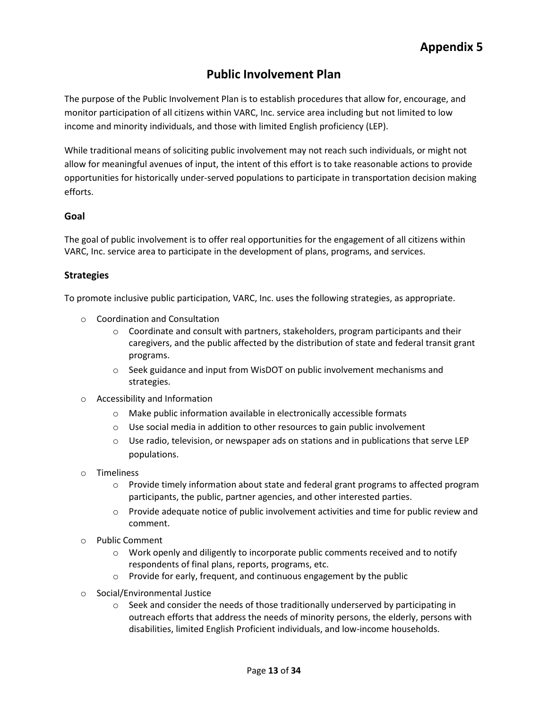## **Public Involvement Plan**

The purpose of the Public Involvement Plan is to establish procedures that allow for, encourage, and monitor participation of all citizens within VARC, Inc. service area including but not limited to low income and minority individuals, and those with limited English proficiency (LEP).

While traditional means of soliciting public involvement may not reach such individuals, or might not allow for meaningful avenues of input, the intent of this effort is to take reasonable actions to provide opportunities for historically under-served populations to participate in transportation decision making efforts.

#### **Goal**

The goal of public involvement is to offer real opportunities for the engagement of all citizens within VARC, Inc. service area to participate in the development of plans, programs, and services.

#### **Strategies**

To promote inclusive public participation, VARC, Inc. uses the following strategies, as appropriate.

- o Coordination and Consultation
	- $\circ$  Coordinate and consult with partners, stakeholders, program participants and their caregivers, and the public affected by the distribution of state and federal transit grant programs.
	- $\circ$  Seek guidance and input from WisDOT on public involvement mechanisms and strategies.
- o Accessibility and Information
	- o Make public information available in electronically accessible formats
	- o Use social media in addition to other resources to gain public involvement
	- $\circ$  Use radio, television, or newspaper ads on stations and in publications that serve LEP populations.
- o Timeliness
	- $\circ$  Provide timely information about state and federal grant programs to affected program participants, the public, partner agencies, and other interested parties.
	- $\circ$  Provide adequate notice of public involvement activities and time for public review and comment.
- o Public Comment
	- o Work openly and diligently to incorporate public comments received and to notify respondents of final plans, reports, programs, etc.
	- o Provide for early, frequent, and continuous engagement by the public
- o Social/Environmental Justice
	- $\circ$  Seek and consider the needs of those traditionally underserved by participating in outreach efforts that address the needs of minority persons, the elderly, persons with disabilities, limited English Proficient individuals, and low-income households.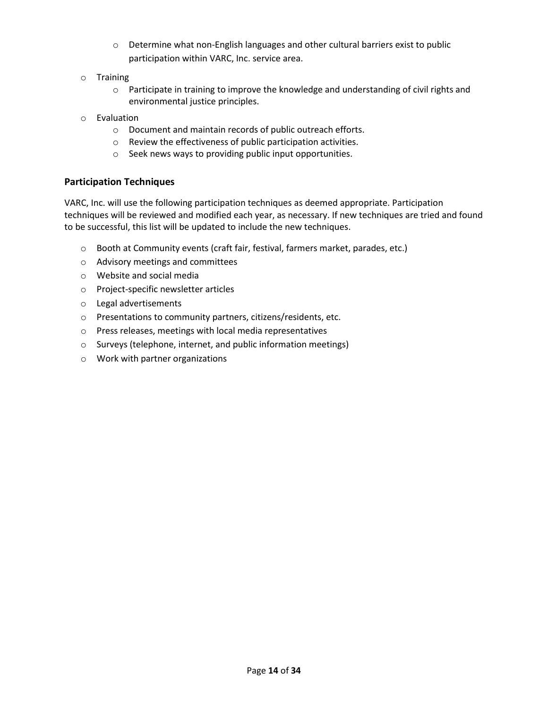- o Determine what non-English languages and other cultural barriers exist to public participation within VARC, Inc. service area.
- o Training
	- $\circ$  Participate in training to improve the knowledge and understanding of civil rights and environmental justice principles.
- o Evaluation
	- o Document and maintain records of public outreach efforts.
	- o Review the effectiveness of public participation activities.
	- o Seek news ways to providing public input opportunities.

#### **Participation Techniques**

VARC, Inc. will use the following participation techniques as deemed appropriate. Participation techniques will be reviewed and modified each year, as necessary. If new techniques are tried and found to be successful, this list will be updated to include the new techniques.

- o Booth at Community events (craft fair, festival, farmers market, parades, etc.)
- o Advisory meetings and committees
- o Website and social media
- o Project-specific newsletter articles
- o Legal advertisements
- o Presentations to community partners, citizens/residents, etc.
- o Press releases, meetings with local media representatives
- o Surveys (telephone, internet, and public information meetings)
- o Work with partner organizations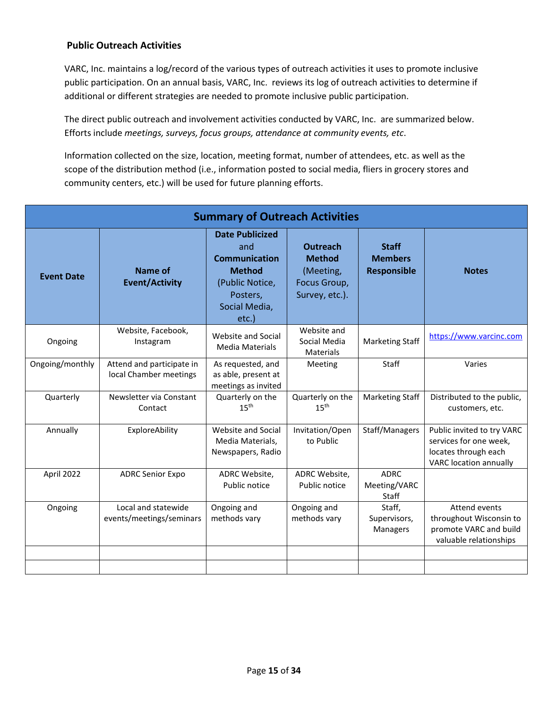#### **Public Outreach Activities**

VARC, Inc. maintains a log/record of the various types of outreach activities it uses to promote inclusive public participation. On an annual basis, VARC, Inc. reviews its log of outreach activities to determine if additional or different strategies are needed to promote inclusive public participation.

The direct public outreach and involvement activities conducted by VARC, Inc. are summarized below. Efforts include *meetings, surveys, focus groups, attendance at community events, etc*.

Information collected on the size, location, meeting format, number of attendees, etc. as well as the scope of the distribution method (i.e., information posted to social media, fliers in grocery stores and community centers, etc.) will be used for future planning efforts.

| <b>Summary of Outreach Activities</b> |                                                     |                                                                                                                                 |                                                                                 |                                                      |                                                                                                               |  |
|---------------------------------------|-----------------------------------------------------|---------------------------------------------------------------------------------------------------------------------------------|---------------------------------------------------------------------------------|------------------------------------------------------|---------------------------------------------------------------------------------------------------------------|--|
| <b>Event Date</b>                     | Name of<br><b>Event/Activity</b>                    | <b>Date Publicized</b><br>and<br><b>Communication</b><br><b>Method</b><br>(Public Notice,<br>Posters,<br>Social Media,<br>etc.) | <b>Outreach</b><br><b>Method</b><br>(Meeting,<br>Focus Group,<br>Survey, etc.). | <b>Staff</b><br><b>Members</b><br><b>Responsible</b> | <b>Notes</b>                                                                                                  |  |
| Ongoing                               | Website, Facebook,<br>Instagram                     | Website and Social<br>Media Materials                                                                                           | Website and<br>Social Media<br><b>Materials</b>                                 | <b>Marketing Staff</b>                               | https://www.varcinc.com                                                                                       |  |
| Ongoing/monthly                       | Attend and participate in<br>local Chamber meetings | As requested, and<br>as able, present at<br>meetings as invited                                                                 | Meeting                                                                         | <b>Staff</b>                                         | Varies                                                                                                        |  |
| Quarterly                             | Newsletter via Constant<br>Contact                  | Quarterly on the<br>15 <sup>th</sup>                                                                                            | Quarterly on the<br>15 <sup>th</sup>                                            | <b>Marketing Staff</b>                               | Distributed to the public,<br>customers, etc.                                                                 |  |
| Annually                              | ExploreAbility                                      | Website and Social<br>Media Materials,<br>Newspapers, Radio                                                                     | Invitation/Open<br>to Public                                                    | Staff/Managers                                       | Public invited to try VARC<br>services for one week,<br>locates through each<br><b>VARC</b> location annually |  |
| April 2022                            | <b>ADRC Senior Expo</b>                             | ADRC Website,<br>Public notice                                                                                                  | ADRC Website,<br>Public notice                                                  | <b>ADRC</b><br>Meeting/VARC<br>Staff                 |                                                                                                               |  |
| Ongoing                               | Local and statewide<br>events/meetings/seminars     | Ongoing and<br>methods vary                                                                                                     | Ongoing and<br>methods vary                                                     | Staff,<br>Supervisors,<br><b>Managers</b>            | Attend events<br>throughout Wisconsin to<br>promote VARC and build<br>valuable relationships                  |  |
|                                       |                                                     |                                                                                                                                 |                                                                                 |                                                      |                                                                                                               |  |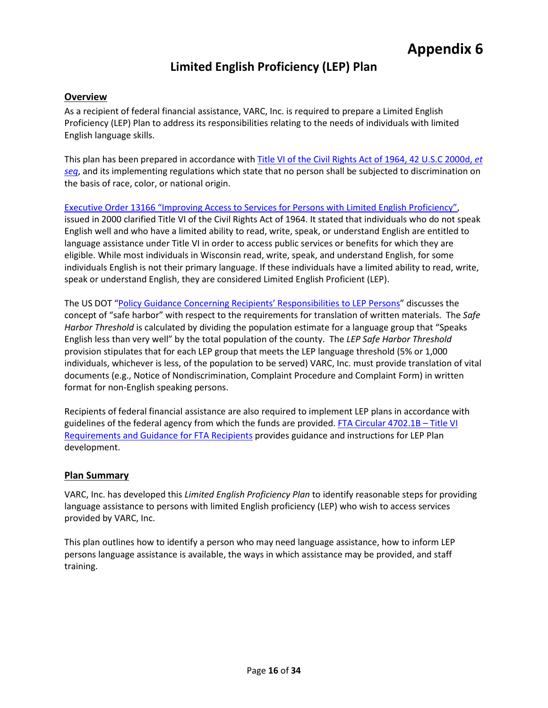## **Limited English Proficiency (LEP) Plan**

#### **Overview**

As a recipient of federal financial assistance, VARC, Inc. is required to prepare a Limited English Proficiency (LEP) Plan to address its responsibilities relating to the needs of individuals with limited English language skills.

This plan has been prepared in accordance wit[h Title VI of the Civil Rights Act of 1964, 42 U.S.C 2000d,](https://www.justice.gov/crt/fcs/TitleVI) *et [seq](https://www.justice.gov/crt/fcs/TitleVI)*, and its implementing regulations which state that no person shall be subjected to discrimination on the basis of race, color, or national origin.

[Executive Order 13166 "Improving Access to Services for Persons with Limited English Proficiency",](https://www.justice.gov/crt/executive-order-13166) issued in 2000 clarified Title VI of the Civil Rights Act of 1964. It stated that individuals who do not speak English well and who have a limited ability to read, write, speak, or understand English are entitled to language assistance under Title VI in order to access public services or benefits for which they are eligible. While most individuals in Wisconsin read, write, speak, and understand English, for some individuals English is not their primary language. If these individuals have a limited ability to read, write, speak or understand English, they are considered Limited English Proficient (LEP).

The US DOT ["Policy Guidance Concerning Recipients' Responsibilities to LEP Persons"](https://www.transportation.gov/civil-rights/civil-rights-library/policy-guidance-concerning-recipients-responsibilities-limited) discusses the concept of "safe harbor" with respect to the requirements for translation of written materials. The *Safe Harbor Threshold* is calculated by dividing the population estimate for a language group that "Speaks English less than very well" by the total population of the county. The *LEP Safe Harbor Threshold* provision stipulates that for each LEP group that meets the LEP language threshold (5% or 1,000 individuals, whichever is less, of the population to be served) VARC, Inc. must provide translation of vital documents (e.g., Notice of Nondiscrimination, Complaint Procedure and Complaint Form) in written format for non-English speaking persons.

Recipients of federal financial assistance are also required to implement LEP plans in accordance with guidelines of the federal agency from which the funds are provided[. FTA Circular 4702.1B –](https://www.transit.dot.gov/sites/fta.dot.gov/files/docs/FTA_Title_VI_FINAL.pdf) Title VI [Requirements and Guidance for FTA Recipients](https://www.transit.dot.gov/sites/fta.dot.gov/files/docs/FTA_Title_VI_FINAL.pdf) provides guidance and instructions for LEP Plan development.

#### **Plan Summary**

VARC, Inc. has developed this *Limited English Proficiency Plan* to identify reasonable steps for providing language assistance to persons with limited English proficiency (LEP) who wish to access services provided by VARC, Inc.

This plan outlines how to identify a person who may need language assistance, how to inform LEP persons language assistance is available, the ways in which assistance may be provided, and staff training.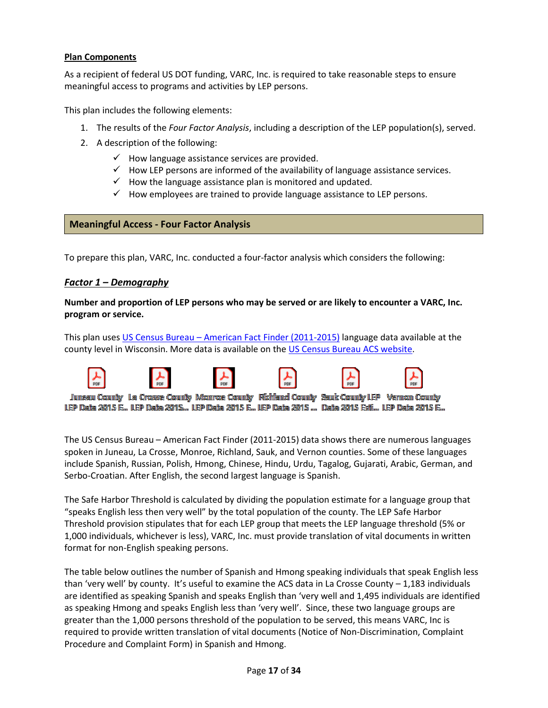#### **Plan Components**

As a recipient of federal US DOT funding, VARC, Inc. is required to take reasonable steps to ensure meaningful access to programs and activities by LEP persons.

This plan includes the following elements:

- 1. The results of the *Four Factor Analysis*, including a description of the LEP population(s), served.
- 2. A description of the following:
	- $\checkmark$  How language assistance services are provided.
	- $\checkmark$  How LEP persons are informed of the availability of language assistance services.
	- $\checkmark$  How the language assistance plan is monitored and updated.
	- $\checkmark$  How employees are trained to provide language assistance to LEP persons.

#### **Meaningful Access - Four Factor Analysis**

To prepare this plan, VARC, Inc. conducted a four-factor analysis which considers the following:

#### *Factor 1 – Demography*

**Number and proportion of LEP persons who may be served or are likely to encounter a VARC, Inc. program or service.** 

This plan uses US Census Bureau – [American Fact Finder \(2011-2015\)](https://wisconsindot.gov/Documents/doing-bus/local-gov/astnce-pgms/transit/compliance/title6-lep.pdf) language data available at the county level in Wisconsin. More data is available on the [US Census Bureau ACS website.](https://www.census.gov/programs-surveys/acs.html)



LEP Data 2015 E... LEP Data 2015... LEP Data 2015 E... LEP Data 2015 ... Data 2015 Esti... LEP Data 2015 E...

The US Census Bureau – American Fact Finder (2011-2015) data shows there are numerous languages spoken in Juneau, La Crosse, Monroe, Richland, Sauk, and Vernon counties. Some of these languages include Spanish, Russian, Polish, Hmong, Chinese, Hindu, Urdu, Tagalog, Gujarati, Arabic, German, and Serbo-Croatian. After English, the second largest language is Spanish.

The Safe Harbor Threshold is calculated by dividing the population estimate for a language group that "speaks English less then very well" by the total population of the county. The LEP Safe Harbor Threshold provision stipulates that for each LEP group that meets the LEP language threshold (5% or 1,000 individuals, whichever is less), VARC, Inc. must provide translation of vital documents in written format for non-English speaking persons.

The table below outlines the number of Spanish and Hmong speaking individuals that speak English less than 'very well' by county. It's useful to examine the ACS data in La Crosse County – 1,183 individuals are identified as speaking Spanish and speaks English than 'very well and 1,495 individuals are identified as speaking Hmong and speaks English less than 'very well'. Since, these two language groups are greater than the 1,000 persons threshold of the population to be served, this means VARC, Inc is required to provide written translation of vital documents (Notice of Non-Discrimination, Complaint Procedure and Complaint Form) in Spanish and Hmong.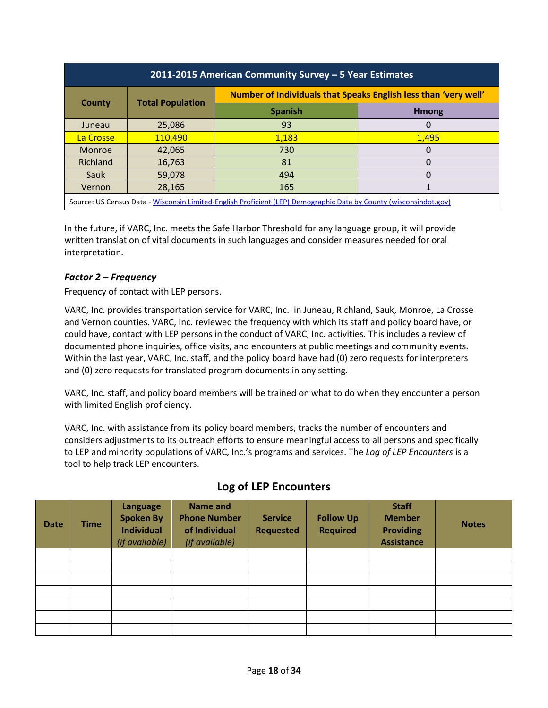| 2011-2015 American Community Survey - 5 Year Estimates                                                            |                         |                                                                 |              |  |  |
|-------------------------------------------------------------------------------------------------------------------|-------------------------|-----------------------------------------------------------------|--------------|--|--|
| County                                                                                                            |                         | Number of Individuals that Speaks English less than 'very well' |              |  |  |
|                                                                                                                   | <b>Total Population</b> | <b>Spanish</b>                                                  | <b>Hmong</b> |  |  |
| Juneau                                                                                                            | 25,086                  | 93                                                              | 0            |  |  |
| La Crosse                                                                                                         | 110,490                 | 1,183                                                           | 1,495        |  |  |
| Monroe                                                                                                            | 42,065                  | 730                                                             | $\Omega$     |  |  |
| Richland                                                                                                          | 16,763                  | 81                                                              | 0            |  |  |
| Sauk                                                                                                              | 59,078                  | 494                                                             | 0            |  |  |
| Vernon                                                                                                            | 28,165                  | 165                                                             |              |  |  |
| Source: US Census Data - Wisconsin Limited-English Proficient (LEP) Demographic Data by County (wisconsindot.gov) |                         |                                                                 |              |  |  |

In the future, if VARC, Inc. meets the Safe Harbor Threshold for any language group, it will provide written translation of vital documents in such languages and consider measures needed for oral interpretation.

#### *Factor 2 – Frequency*

Frequency of contact with LEP persons.

VARC, Inc. provides transportation service for VARC, Inc. in Juneau, Richland, Sauk, Monroe, La Crosse and Vernon counties. VARC, Inc. reviewed the frequency with which its staff and policy board have, or could have, contact with LEP persons in the conduct of VARC, Inc. activities. This includes a review of documented phone inquiries, office visits, and encounters at public meetings and community events. Within the last year, VARC, Inc. staff, and the policy board have had (0) zero requests for interpreters and (0) zero requests for translated program documents in any setting.

VARC, Inc. staff, and policy board members will be trained on what to do when they encounter a person with limited English proficiency.

VARC, Inc. with assistance from its policy board members, tracks the number of encounters and considers adjustments to its outreach efforts to ensure meaningful access to all persons and specifically to LEP and minority populations of VARC, Inc.'s programs and services. The *Log of LEP Encounters* is a tool to help track LEP encounters.

| <b>Date</b> | <b>Time</b> | Language<br><b>Spoken By</b><br><b>Individual</b><br>(if available) | Name and<br><b>Phone Number</b><br>of Individual<br>(if available) | <b>Service</b><br><b>Requested</b> | <b>Follow Up</b><br><b>Required</b> | <b>Staff</b><br><b>Member</b><br><b>Providing</b><br><b>Assistance</b> | <b>Notes</b> |
|-------------|-------------|---------------------------------------------------------------------|--------------------------------------------------------------------|------------------------------------|-------------------------------------|------------------------------------------------------------------------|--------------|
|             |             |                                                                     |                                                                    |                                    |                                     |                                                                        |              |
|             |             |                                                                     |                                                                    |                                    |                                     |                                                                        |              |
|             |             |                                                                     |                                                                    |                                    |                                     |                                                                        |              |
|             |             |                                                                     |                                                                    |                                    |                                     |                                                                        |              |
|             |             |                                                                     |                                                                    |                                    |                                     |                                                                        |              |
|             |             |                                                                     |                                                                    |                                    |                                     |                                                                        |              |
|             |             |                                                                     |                                                                    |                                    |                                     |                                                                        |              |

### **Log of LEP Encounters**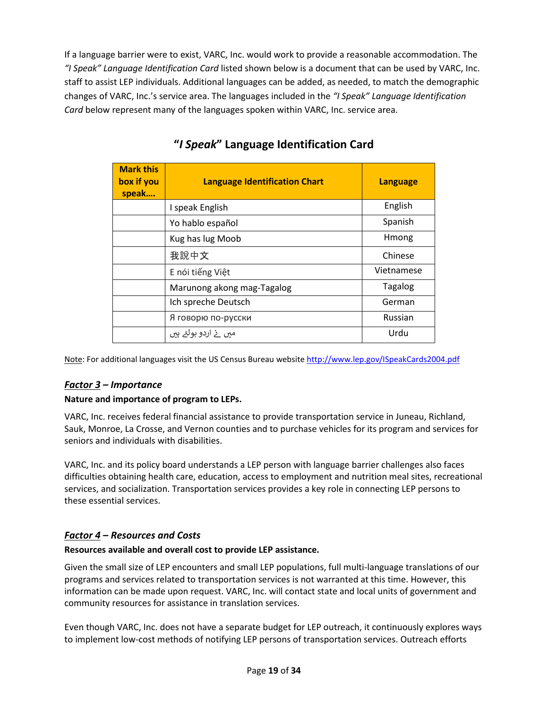If a language barrier were to exist, VARC, Inc. would work to provide a reasonable accommodation. The *"I Speak" Language Identification Card* listed shown below is a document that can be used by VARC, Inc. staff to assist LEP individuals. Additional languages can be added, as needed, to match the demographic changes of VARC, Inc.'s service area. The languages included in the *"I Speak" Language Identification Card* below represent many of the languages spoken within VARC, Inc. service area.

| <b>Mark this</b><br>box if you<br>speak | <b>Language Identification Chart</b> | <b>Language</b> |
|-----------------------------------------|--------------------------------------|-----------------|
|                                         | I speak English                      | English         |
|                                         | Yo hablo español                     | Spanish         |
|                                         | Kug has lug Moob                     | Hmong           |
|                                         | 我說中文                                 | Chinese         |
|                                         | E nói tiếng Việt                     | Vietnamese      |
|                                         | Marunong akong mag-Tagalog           | <b>Tagalog</b>  |
|                                         | Ich spreche Deutsch                  | German          |
|                                         | Я говорю по-русски                   | Russian         |
|                                         | میں نے اردو بولتے ہیں                | Urdu            |

**"***I Speak***" Language Identification Card**

Note: For additional languages visit the US Census Bureau website<http://www.lep.gov/ISpeakCards2004.pdf>

#### *Factor 3 – Importance*

#### **Nature and importance of program to LEPs.**

VARC, Inc. receives federal financial assistance to provide transportation service in Juneau, Richland, Sauk, Monroe, La Crosse, and Vernon counties and to purchase vehicles for its program and services for seniors and individuals with disabilities.

VARC, Inc. and its policy board understands a LEP person with language barrier challenges also faces difficulties obtaining health care, education, access to employment and nutrition meal sites, recreational services, and socialization. Transportation services provides a key role in connecting LEP persons to these essential services.

#### *Factor 4 – Resources and Costs*

#### **Resources available and overall cost to provide LEP assistance.**

Given the small size of LEP encounters and small LEP populations, full multi-language translations of our programs and services related to transportation services is not warranted at this time. However, this information can be made upon request. VARC, Inc. will contact state and local units of government and community resources for assistance in translation services.

Even though VARC, Inc. does not have a separate budget for LEP outreach, it continuously explores ways to implement low-cost methods of notifying LEP persons of transportation services. Outreach efforts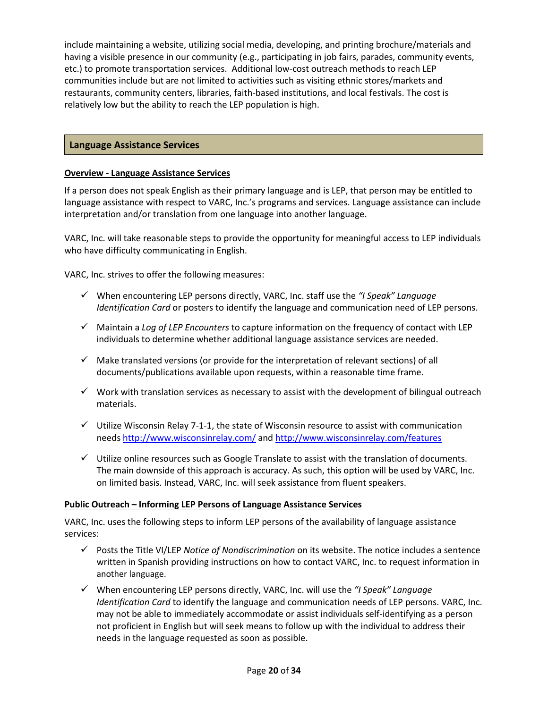include maintaining a website, utilizing social media, developing, and printing brochure/materials and having a visible presence in our community (e.g., participating in job fairs, parades, community events, etc.) to promote transportation services. Additional low-cost outreach methods to reach LEP communities include but are not limited to activities such as visiting ethnic stores/markets and restaurants, community centers, libraries, faith-based institutions, and local festivals. The cost is relatively low but the ability to reach the LEP population is high.

#### **Language Assistance Services**

#### **Overview - Language Assistance Services**

If a person does not speak English as their primary language and is LEP, that person may be entitled to language assistance with respect to VARC, Inc.'s programs and services. Language assistance can include interpretation and/or translation from one language into another language.

VARC, Inc. will take reasonable steps to provide the opportunity for meaningful access to LEP individuals who have difficulty communicating in English.

VARC, Inc. strives to offer the following measures:

- When encountering LEP persons directly, VARC, Inc. staff use the *"I Speak" Language Identification Card* or posters to identify the language and communication need of LEP persons.
- Maintain a *Log of LEP Encounters* to capture information on the frequency of contact with LEP individuals to determine whether additional language assistance services are needed.
- $\checkmark$  Make translated versions (or provide for the interpretation of relevant sections) of all documents/publications available upon requests, within a reasonable time frame.
- $\checkmark$  Work with translation services as necessary to assist with the development of bilingual outreach materials.
- $\checkmark$  Utilize Wisconsin Relay 7-1-1, the state of Wisconsin resource to assist with communication needs<http://www.wisconsinrelay.com/> an[d http://www.wisconsinrelay.com/features](http://www.wisconsinrelay.com/features)
- $\checkmark$  Utilize online resources such as Google Translate to assist with the translation of documents. The main downside of this approach is accuracy. As such, this option will be used by VARC, Inc. on limited basis. Instead, VARC, Inc. will seek assistance from fluent speakers.

#### **Public Outreach – Informing LEP Persons of Language Assistance Services**

VARC, Inc. uses the following steps to inform LEP persons of the availability of language assistance services:

- Posts the Title VI/LEP *Notice of Nondiscrimination* on its website. The notice includes a sentence written in Spanish providing instructions on how to contact VARC, Inc. to request information in another language.
- When encountering LEP persons directly, VARC, Inc. will use the *"I Speak" Language Identification Card* to identify the language and communication needs of LEP persons. VARC, Inc. may not be able to immediately accommodate or assist individuals self-identifying as a person not proficient in English but will seek means to follow up with the individual to address their needs in the language requested as soon as possible.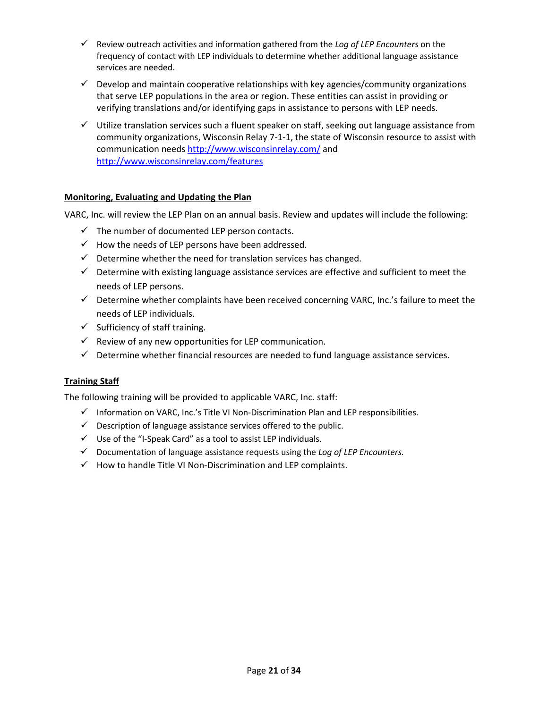- Review outreach activities and information gathered from the *Log of LEP Encounters* on the frequency of contact with LEP individuals to determine whether additional language assistance services are needed.
- $\checkmark$  Develop and maintain cooperative relationships with key agencies/community organizations that serve LEP populations in the area or region. These entities can assist in providing or verifying translations and/or identifying gaps in assistance to persons with LEP needs.
- $\checkmark$  Utilize translation services such a fluent speaker on staff, seeking out language assistance from community organizations, Wisconsin Relay 7-1-1, the state of Wisconsin resource to assist with communication need[s http://www.wisconsinrelay.com/](http://www.wisconsinrelay.com/) and <http://www.wisconsinrelay.com/features>

#### **Monitoring, Evaluating and Updating the Plan**

VARC, Inc. will review the LEP Plan on an annual basis. Review and updates will include the following:

- $\checkmark$  The number of documented LEP person contacts.
- $\checkmark$  How the needs of LEP persons have been addressed.
- $\checkmark$  Determine whether the need for translation services has changed.
- $\checkmark$  Determine with existing language assistance services are effective and sufficient to meet the needs of LEP persons.
- $\checkmark$  Determine whether complaints have been received concerning VARC, Inc.'s failure to meet the needs of LEP individuals.
- $\checkmark$  Sufficiency of staff training.
- $\checkmark$  Review of any new opportunities for LEP communication.
- $\checkmark$  Determine whether financial resources are needed to fund language assistance services.

#### **Training Staff**

The following training will be provided to applicable VARC, Inc. staff:

- $\checkmark$  Information on VARC, Inc.'s Title VI Non-Discrimination Plan and LEP responsibilities.
- $\checkmark$  Description of language assistance services offered to the public.
- $\checkmark$  Use of the "I-Speak Card" as a tool to assist LEP individuals.
- Documentation of language assistance requests using the *Log of LEP Encounters.*
- $\checkmark$  How to handle Title VI Non-Discrimination and LEP complaints.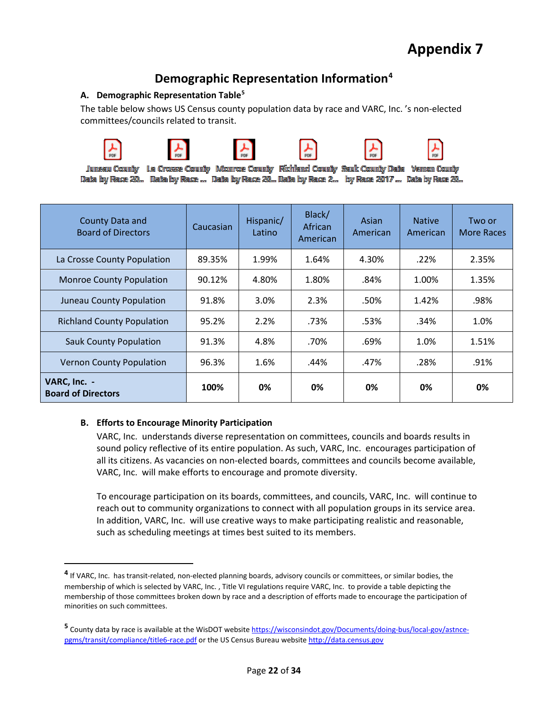## **Demographic Representation Information[4](#page-21-0)**

#### **A. Demographic Representation Table[5](#page-21-1)**

The table below shows US Census county population data by race and VARC, Inc. 's non-elected committees/councils related to transit.



 $\overline{\phantom{a}}$ 









Jumeeu County La Crosse County Momroe County Fixhend County Seuk County Deba Veman County Data by Rane 20... Data by Rane ... Data by Rane 20... Data by Rane 2... by Rane 2017 ... Data by Rane 20...

| County Data and<br><b>Board of Directors</b> | Caucasian | Hispanic/<br>Latino | Black/<br>African<br>American | Asian<br>American | <b>Native</b><br>American | Two or<br>More Races |
|----------------------------------------------|-----------|---------------------|-------------------------------|-------------------|---------------------------|----------------------|
| La Crosse County Population                  | 89.35%    | 1.99%               | 1.64%                         | 4.30%             | .22%                      | 2.35%                |
| <b>Monroe County Population</b>              | 90.12%    | 4.80%               | 1.80%                         | .84%              | 1.00%                     | 1.35%                |
| Juneau County Population                     | 91.8%     | 3.0%                | 2.3%                          | .50%              | 1.42%                     | .98%                 |
| <b>Richland County Population</b>            | 95.2%     | 2.2%                | .73%                          | .53%              | .34%                      | 1.0%                 |
| <b>Sauk County Population</b>                | 91.3%     | 4.8%                | .70%                          | .69%              | 1.0%                      | 1.51%                |
| <b>Vernon County Population</b>              | 96.3%     | 1.6%                | .44%                          | .47%              | .28%                      | .91%                 |
| VARC, Inc. -<br><b>Board of Directors</b>    | 100%      | 0%                  | 0%                            | 0%                | 0%                        | 0%                   |

#### **B. Efforts to Encourage Minority Participation**

VARC, Inc. understands diverse representation on committees, councils and boards results in sound policy reflective of its entire population. As such, VARC, Inc. encourages participation of all its citizens. As vacancies on non-elected boards, committees and councils become available, VARC, Inc. will make efforts to encourage and promote diversity.

To encourage participation on its boards, committees, and councils, VARC, Inc. will continue to reach out to community organizations to connect with all population groups in its service area. In addition, VARC, Inc. will use creative ways to make participating realistic and reasonable, such as scheduling meetings at times best suited to its members.

<span id="page-21-0"></span>**<sup>4</sup>** If VARC, Inc. has transit-related, non-elected planning boards, advisory councils or committees, or similar bodies, the membership of which is selected by VARC, Inc. , Title VI regulations require VARC, Inc. to provide a table depicting the membership of those committees broken down by race and a description of efforts made to encourage the participation of minorities on such committees.

<span id="page-21-1"></span>**<sup>5</sup>** County data by race is available at the WisDOT websit[e https://wisconsindot.gov/Documents/doing-bus/local-gov/astnce](https://wisconsindot.gov/Documents/doing-bus/local-gov/astnce-pgms/transit/compliance/title6-race.pdf)[pgms/transit/compliance/title6-race.pdf](https://wisconsindot.gov/Documents/doing-bus/local-gov/astnce-pgms/transit/compliance/title6-race.pdf) or the US Census Bureau website [http://data.census.gov](http://data.census.gov/)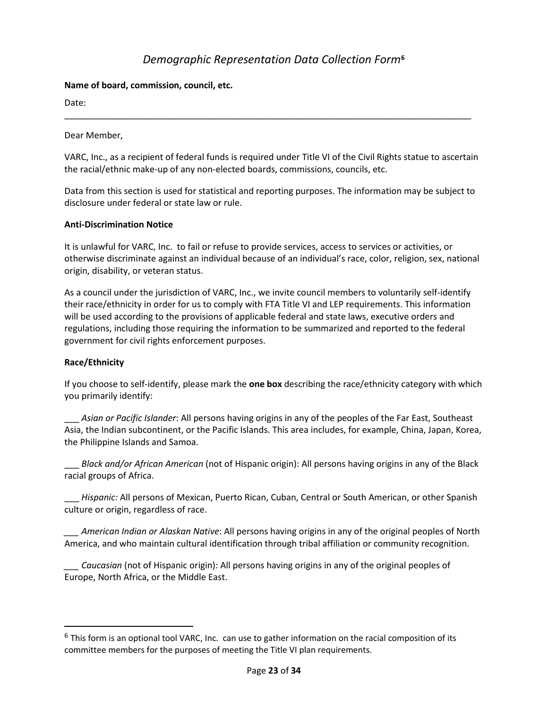## *Demographic Representation Data Collection Form***[6](#page-22-0)**

#### **Name of board, commission, council, etc.**

Date:

Dear Member,

VARC, Inc., as a recipient of federal funds is required under Title VI of the Civil Rights statue to ascertain the racial/ethnic make-up of any non-elected boards, commissions, councils, etc.

\_\_\_\_\_\_\_\_\_\_\_\_\_\_\_\_\_\_\_\_\_\_\_\_\_\_\_\_\_\_\_\_\_\_\_\_\_\_\_\_\_\_\_\_\_\_\_\_\_\_\_\_\_\_\_\_\_\_\_\_\_\_\_\_\_\_\_\_\_\_\_\_\_\_\_\_\_\_\_\_\_\_\_

Data from this section is used for statistical and reporting purposes. The information may be subject to disclosure under federal or state law or rule.

#### **Anti-Discrimination Notice**

It is unlawful for VARC, Inc. to fail or refuse to provide services, access to services or activities, or otherwise discriminate against an individual because of an individual's race, color, religion, sex, national origin, disability, or veteran status.

As a council under the jurisdiction of VARC, Inc., we invite council members to voluntarily self-identify their race/ethnicity in order for us to comply with FTA Title VI and LEP requirements. This information will be used according to the provisions of applicable federal and state laws, executive orders and regulations, including those requiring the information to be summarized and reported to the federal government for civil rights enforcement purposes.

#### **Race/Ethnicity**

If you choose to self-identify, please mark the **one box** describing the race/ethnicity category with which you primarily identify:

\_\_\_ *Asian or Pacific Islander*: All persons having origins in any of the peoples of the Far East, Southeast Asia, the Indian subcontinent, or the Pacific Islands. This area includes, for example, China, Japan, Korea, the Philippine Islands and Samoa.

\_\_\_ *Black and/or African American* (not of Hispanic origin): All persons having origins in any of the Black racial groups of Africa.

\_\_\_ *Hispanic:* All persons of Mexican, Puerto Rican, Cuban, Central or South American, or other Spanish culture or origin, regardless of race.

*\_\_\_ American Indian or Alaskan Native*: All persons having origins in any of the original peoples of North America, and who maintain cultural identification through tribal affiliation or community recognition.

*\_\_\_ Caucasian* (not of Hispanic origin): All persons having origins in any of the original peoples of Europe, North Africa, or the Middle East.

<span id="page-22-0"></span> $6$  This form is an optional tool VARC, Inc. can use to gather information on the racial composition of its committee members for the purposes of meeting the Title VI plan requirements.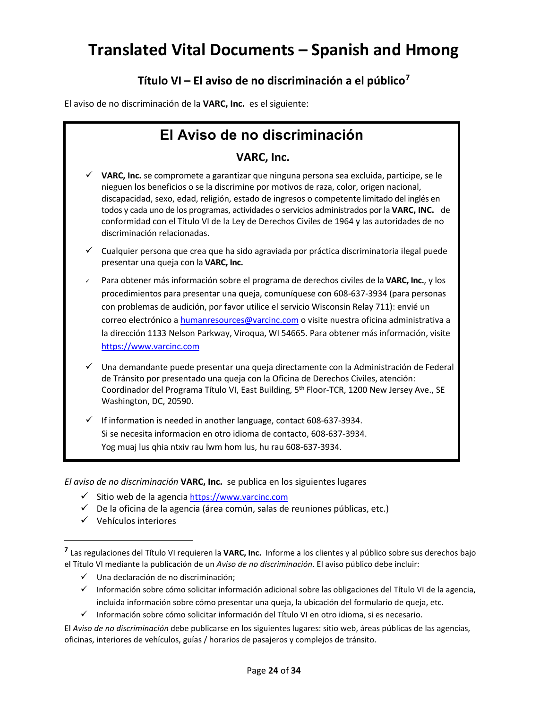## **Translated Vital Documents – Spanish and Hmong**

## **Título VI – El aviso de no discriminación a el público[7](#page-23-0)**

El aviso de no discriminación de la **VARC, Inc.** es el siguiente:

## **El Aviso de no discriminación**

#### **VARC, Inc.**

- **VARC, Inc.** se compromete a garantizar que ninguna persona sea excluida, participe, se le nieguen los beneficios o se la discrimine por motivos de raza, color, origen nacional, discapacidad, sexo, edad, religión, estado de ingresos o competente limitado del inglés en todos y cada uno de los programas, actividades o servicios administrados por la **VARC, INC.** de conformidad con el Título VI de la Ley de Derechos Civiles de 1964 y las autoridades de no discriminación relacionadas.
- Cualquier persona que crea que ha sido agraviada por práctica discriminatoria ilegal puede presentar una queja con la **VARC, Inc.**
- Para obtener más información sobre el programa de derechos civiles de la **VARC, Inc.**, y los procedimientos para presentar una queja, comuníquese con 608-637-3934 (para personas con problemas de audición, por favor utilice el servicio Wisconsin Relay 711): envié un correo electrónico a [humanresources@varcinc.com](mailto:humanresources@varcinc.com) o visite nuestra oficina administrativa a la dirección 1133 Nelson Parkway, Viroqua, WI 54665. Para obtener más información, visite [https://www.varcinc.com](https://www.varcinc.com/)
- Una demandante puede presentar una queja directamente con la Administración de Federal de Tránsito por presentado una queja con la Oficina de Derechos Civiles, atención: Coordinador del Programa Título VI, East Building, 5th Floor-TCR, 1200 New Jersey Ave., SE Washington, DC, 20590.
- If information is needed in another language, contact 608-637-3934. Si se necesita informacion en otro idioma de contacto, 608-637-3934. Yog muaj lus qhia ntxiv rau lwm hom lus, hu rau 608-637-3934.

*El aviso de no discriminación* **VARC, Inc.** se publica en los siguientes lugares

- Sitio web de la agencia [https://www.varcinc.com](https://www.varcinc.com/)
- $\checkmark$  De la oficina de la agencia (área común, salas de reuniones públicas, etc.)
- $\checkmark$  Vehículos interiores

l

- $\checkmark$  Una declaración de no discriminación;
- Información sobre cómo solicitar información adicional sobre las obligaciones del Título VI de la agencia, incluida información sobre cómo presentar una queja, la ubicación del formulario de queja, etc.
- $\checkmark$  Información sobre cómo solicitar información del Título VI en otro idioma, si es necesario.

El *Aviso de no discriminación* debe publicarse en los siguientes lugares: sitio web, áreas públicas de las agencias, oficinas, interiores de vehículos, guías / horarios de pasajeros y complejos de tránsito.

<span id="page-23-0"></span>**<sup>7</sup>** Las regulaciones del Título VI requieren la **VARC, Inc.** Informe a los clientes y al público sobre sus derechos bajo el Título VI mediante la publicación de un *Aviso de no discriminación*. El aviso público debe incluir: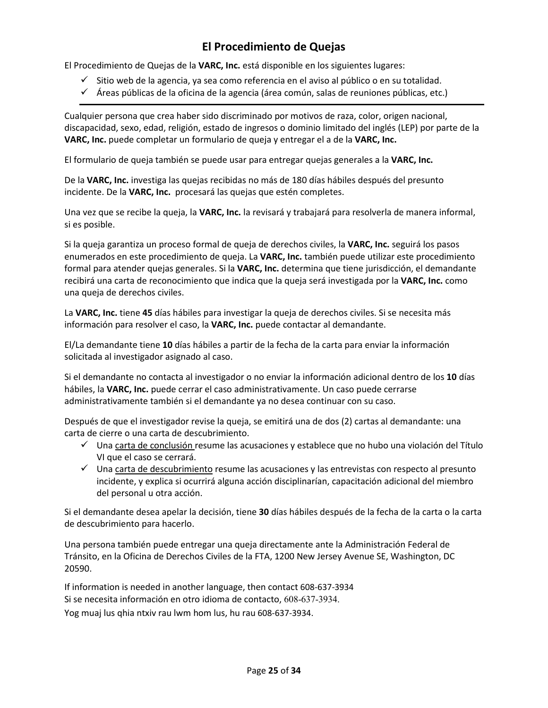## **El Procedimiento de Quejas**

El Procedimiento de Quejas de la **VARC, Inc.** está disponible en los siguientes lugares:

- $\checkmark$  Sitio web de la agencia, ya sea como referencia en el aviso al público o en su totalidad.
- $\checkmark$  Áreas públicas de la oficina de la agencia (área común, salas de reuniones públicas, etc.)

Cualquier persona que crea haber sido discriminado por motivos de raza, color, origen nacional, discapacidad, sexo, edad, religión, estado de ingresos o dominio limitado del inglés (LEP) por parte de la **VARC, Inc.** puede completar un formulario de queja y entregar el a de la **VARC, Inc.** 

El formulario de queja también se puede usar para entregar quejas generales a la **VARC, Inc.** 

De la **VARC, Inc.** investiga las quejas recibidas no más de 180 días hábiles después del presunto incidente. De la **VARC, Inc.** procesará las quejas que estén completes.

Una vez que se recibe la queja, la **VARC, Inc.** la revisará y trabajará para resolverla de manera informal, si es posible.

Si la queja garantiza un proceso formal de queja de derechos civiles, la **VARC, Inc.** seguirá los pasos enumerados en este procedimiento de queja. La **VARC, Inc.** también puede utilizar este procedimiento formal para atender quejas generales. Si la **VARC, Inc.** determina que tiene jurisdicción, el demandante recibirá una carta de reconocimiento que indica que la queja será investigada por la **VARC, Inc.** como una queja de derechos civiles.

La **VARC, Inc.** tiene **45** días hábiles para investigar la queja de derechos civiles. Si se necesita más información para resolver el caso, la **VARC, Inc.** puede contactar al demandante.

El/La demandante tiene **10** días hábiles a partir de la fecha de la carta para enviar la información solicitada al investigador asignado al caso.

Si el demandante no contacta al investigador o no enviar la información adicional dentro de los **10** días hábiles, la **VARC, Inc.** puede cerrar el caso administrativamente. Un caso puede cerrarse administrativamente también si el demandante ya no desea continuar con su caso.

Después de que el investigador revise la queja, se emitirá una de dos (2) cartas al demandante: una carta de cierre o una carta de descubrimiento.

- $\checkmark$  Una carta de conclusión resume las acusaciones y establece que no hubo una violación del Título VI que el caso se cerrará.
- $\checkmark$  Una carta de descubrimiento resume las acusaciones y las entrevistas con respecto al presunto incidente, y explica si ocurrirá alguna acción disciplinarían, capacitación adicional del miembro del personal u otra acción.

Si el demandante desea apelar la decisión, tiene **30** días hábiles después de la fecha de la carta o la carta de descubrimiento para hacerlo.

Una persona también puede entregar una queja directamente ante la Administración Federal de Tránsito, en la Oficina de Derechos Civiles de la FTA, 1200 New Jersey Avenue SE, Washington, DC 20590.

If information is needed in another language, then contact 608-637-3934 Si se necesita información en otro idioma de contacto, 608-637-3934.

Yog muaj lus qhia ntxiv rau lwm hom lus, hu rau 608-637-3934.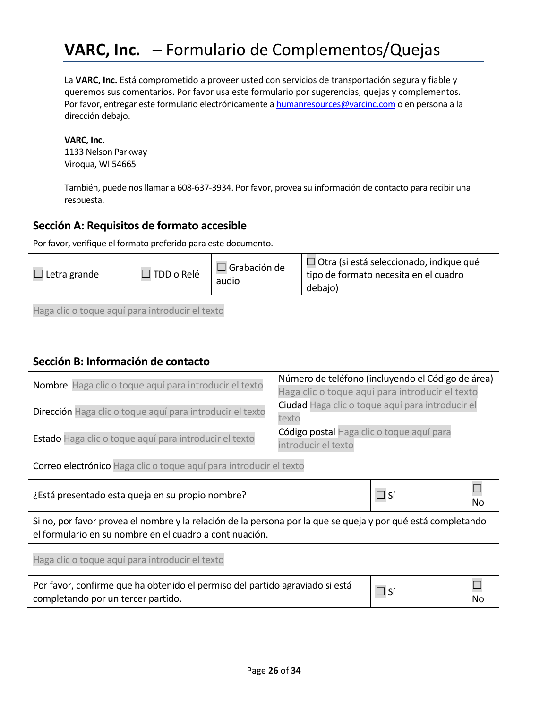## **VARC, Inc.** – Formulario de Complementos/Quejas

La **VARC, Inc.** Está comprometido a proveer usted con servicios de transportación segura y fiable y queremos sus comentarios. Por favor usa este formulario por sugerencias, quejas y complementos. Por favor, entregar este formulario electrónicamente a [humanresources@varcinc.com](mailto:humanresources@varcinc.com) o en persona a la dirección debajo.

#### **VARC, Inc.**

1133 Nelson Parkway Viroqua, WI 54665

También, puede nos llamar a 608-637-3934. Por favor, provea su información de contacto para recibir una respuesta.

#### **Sección A: Requisitos de formato accesible**

Por favor, verifique el formato preferido para este documento.

| $\Box$ Letra grande                             | $\Box$ TDD o Relé | $\Box$ Grabación de<br>audio | $\Box$ Otra (si está seleccionado, indique qué<br>tipo de formato necesita en el cuadro<br>debajo) |
|-------------------------------------------------|-------------------|------------------------------|----------------------------------------------------------------------------------------------------|
| Haga clic o toque aquí para introducir el texto |                   |                              |                                                                                                    |

#### **Sección B: Información de contacto**

| Nombre Haga clic o toque aquí para introducir el texto    | Número de teléfono (incluyendo el Código de área)<br>Haga clic o toque aquí para introducir el texto |
|-----------------------------------------------------------|------------------------------------------------------------------------------------------------------|
| Dirección Haga clic o toque aquí para introducir el texto | Ciudad Haga clic o toque aquí para introducir el<br>texto                                            |
| Estado Haga clic o toque aquí para introducir el texto    | Código postal Haga clic o toque aquí para<br>introducir el texto                                     |

Correo electrónico Haga clic o toque aquí para introducir el texto

¿Está presentado esta queja en su propio nombre?  $\Box$  Sí  $\Box$  Sí

Si no, por favor provea el nombre y la relación de la persona por la que se queja y por qué está completando el formulario en su nombre en el cuadro a continuación.

Haga clic o toque aquí para introducir el texto

| Por favor, confirme que ha obtenido el permiso del partido agraviado si está |    |
|------------------------------------------------------------------------------|----|
| completando por un tercer partido.                                           | No |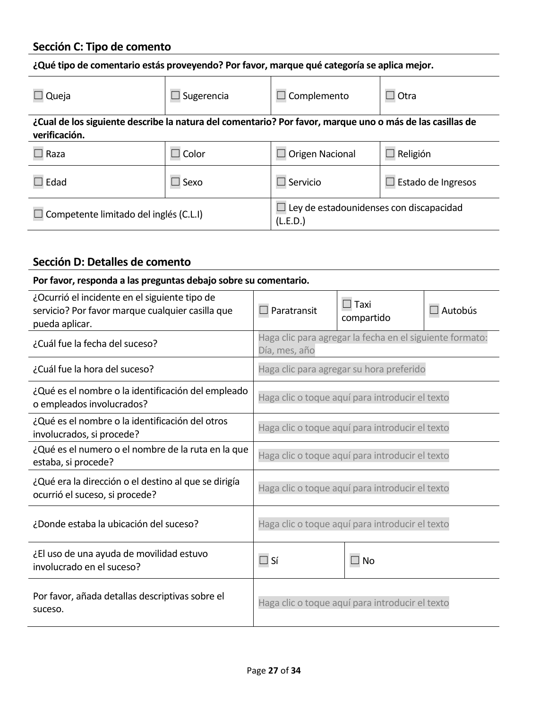## **Sección C: Tipo de comento**

| ¿Qué tipo de comentario estás proveyendo? Por favor, marque qué categoría se aplica mejor.                                |                           |                                                     |                        |  |  |
|---------------------------------------------------------------------------------------------------------------------------|---------------------------|-----------------------------------------------------|------------------------|--|--|
| Queja                                                                                                                     | Complemento<br>Sugerencia |                                                     | Otra<br>$\blacksquare$ |  |  |
| ¿Cual de los siguiente describe la natura del comentario? Por favor, marque uno o más de las casillas de<br>verificación. |                           |                                                     |                        |  |  |
| Raza                                                                                                                      | Color<br>$\blacksquare$   | Origen Nacional                                     | Religión               |  |  |
| Edad                                                                                                                      | $\Box$ Sexo               | $\Box$ Servicio                                     | Estado de Ingresos     |  |  |
| Competente limitado del inglés (C.L.I)                                                                                    |                           | Ley de estadounidenses con discapacidad<br>(L.E.D.) |                        |  |  |

## **Sección D: Detalles de comento**

| Por favor, responda a las preguntas debajo sobre su comentario.                                                     |                                                 |                                                          |                |  |
|---------------------------------------------------------------------------------------------------------------------|-------------------------------------------------|----------------------------------------------------------|----------------|--|
| ¿Ocurrió el incidente en el siguiente tipo de<br>servicio? Por favor marque cualquier casilla que<br>pueda aplicar. | $\Box$ Paratransit                              | $\Box$ Taxi<br>compartido                                | $\Box$ Autobús |  |
| ¿Cuál fue la fecha del suceso?                                                                                      | Día, mes, año                                   | Haga clic para agregar la fecha en el siguiente formato: |                |  |
| ¿Cuál fue la hora del suceso?                                                                                       |                                                 | Haga clic para agregar su hora preferido                 |                |  |
| ¿Qué es el nombre o la identificación del empleado<br>o empleados involucrados?                                     | Haga clic o toque aquí para introducir el texto |                                                          |                |  |
| ¿Qué es el nombre o la identificación del otros<br>involucrados, si procede?                                        | Haga clic o toque aquí para introducir el texto |                                                          |                |  |
| ¿Qué es el numero o el nombre de la ruta en la que<br>estaba, si procede?                                           | Haga clic o toque aquí para introducir el texto |                                                          |                |  |
| ¿Qué era la dirección o el destino al que se dirigía<br>ocurrió el suceso, si procede?                              | Haga clic o toque aquí para introducir el texto |                                                          |                |  |
| ¿Donde estaba la ubicación del suceso?                                                                              | Haga clic o toque aquí para introducir el texto |                                                          |                |  |
| ¿El uso de una ayuda de movilidad estuvo<br>involucrado en el suceso?                                               | $\Box$ Sí                                       | $\Box$ No                                                |                |  |
| Por favor, añada detallas descriptivas sobre el<br>suceso.                                                          | Haga clic o toque aquí para introducir el texto |                                                          |                |  |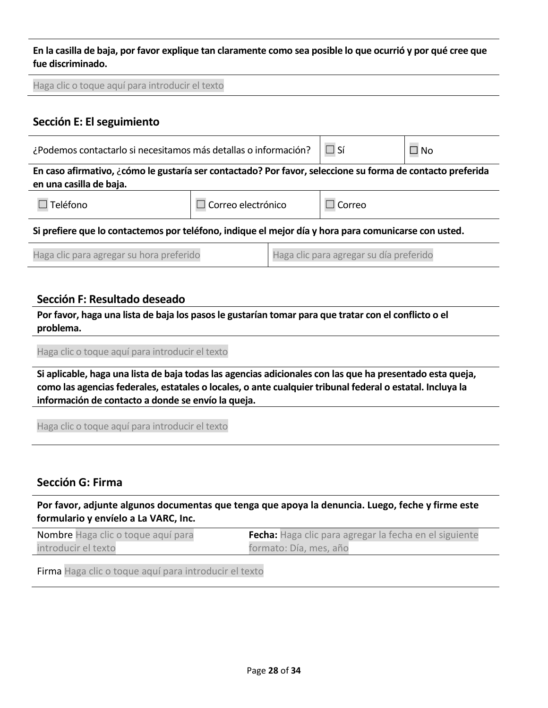**En la casilla de baja, por favor explique tan claramente como sea posible lo que ocurrió y por qué cree que fue discriminado.** 

| Haga clic o toque aquí para introducir el texto                                                                                       |  |  |        |  |  |
|---------------------------------------------------------------------------------------------------------------------------------------|--|--|--------|--|--|
| Sección E: El seguimiento                                                                                                             |  |  |        |  |  |
| $\Box$ Sí<br>¿Podemos contactarlo si necesitamos más detallas o información?<br>$\square$ No                                          |  |  |        |  |  |
| En caso afirmativo, ¿cómo le gustaría ser contactado? Por favor, seleccione su forma de contacto preferida<br>en una casilla de baja. |  |  |        |  |  |
| Teléfono<br>Correo electrónico                                                                                                        |  |  | Correo |  |  |
| Si prefiere que lo contactemos por teléfono, indique el mejor día y hora para comunicarse con usted.                                  |  |  |        |  |  |
| Haga clic para agregar su día preferido<br>Haga clic para agregar su hora preferido                                                   |  |  |        |  |  |

#### **Sección F: Resultado deseado**

**Por favor, haga una lista de baja los pasos le gustarían tomar para que tratar con el conflicto o el problema.**

Haga clic o toque aquí para introducir el texto

**Si aplicable, haga una lista de baja todas las agencias adicionales con las que ha presentado esta queja, como las agencias federales, estatales o locales, o ante cualquier tribunal federal o estatal. Incluya la información de contacto a donde se envío la queja.** 

Haga clic o toque aquí para introducir el texto

#### **Sección G: Firma**

**Por favor, adjunte algunos documentas que tenga que apoya la denuncia. Luego, feche y firme este formulario y envíelo a La VARC, Inc.** 

| <b>Nombre</b> Haga clic o toque aquí para | <b>Fecha:</b> Haga clic para agregar la fecha en el siguiente |
|-------------------------------------------|---------------------------------------------------------------|
| introducir el texto                       | formato: Día, mes, año                                        |

Firma Haga clic o toque aquí para introducir el texto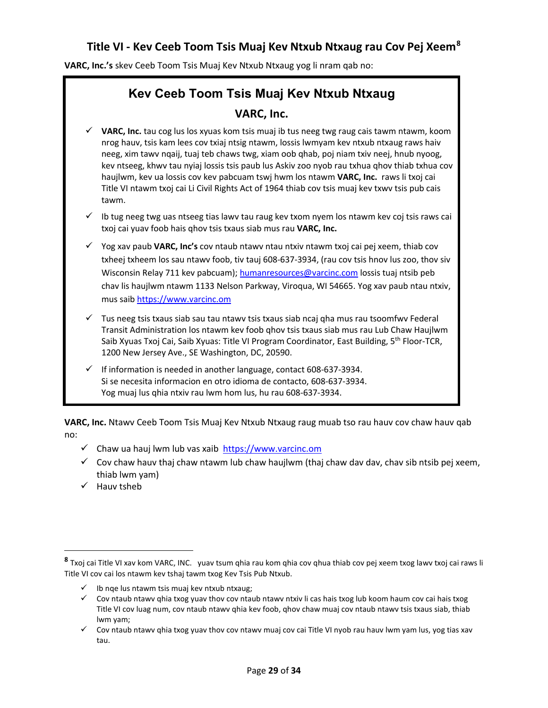## **Title VI - Kev Ceeb Toom Tsis Muaj Kev Ntxub Ntxaug rau Cov Pej Xeem[8](#page-28-0)**

**VARC, Inc.'s** skev Ceeb Toom Tsis Muaj Kev Ntxub Ntxaug yog li nram qab no:

## **Kev Ceeb Toom Tsis Muaj Kev Ntxub Ntxaug VARC, Inc.**

- **VARC, Inc.** tau cog lus los xyuas kom tsis muaj ib tus neeg twg raug cais tawm ntawm, koom nrog hauv, tsis kam lees cov txiaj ntsig ntawm, lossis lwmyam kev ntxub ntxaug raws haiv neeg, xim tawv nqaij, tuaj teb chaws twg, xiam oob qhab, poj niam txiv neej, hnub nyoog, kev ntseeg, khwv tau nyiaj lossis tsis paub lus Askiv zoo nyob rau txhua qhov thiab txhua cov haujlwm, kev ua lossis cov kev pabcuam tswj hwm los ntawm **VARC, Inc.** raws li txoj cai Title VI ntawm txoj cai Li Civil Rights Act of 1964 thiab cov tsis muaj kev txwv tsis pub cais tawm.
- Ib tug neeg twg uas ntseeg tias lawv tau raug kev txom nyem los ntawm kev coj tsis raws cai txoj cai yuav foob hais qhov tsis txaus siab mus rau **VARC, Inc.**
- Yog xav paub **VARC, Inc's** cov ntaub ntawv ntau ntxiv ntawm txoj cai pej xeem, thiab cov txheej txheem los sau ntawv foob, tiv tauj 608-637-3934, (rau cov tsis hnov lus zoo, thov siv Wisconsin Relay 711 kev pabcuam); [humanresources@varcinc.com](mailto:humanresources@varcinc.com) lossis tuaj ntsib peb chav lis haujlwm ntawm 1133 Nelson Parkway, Viroqua, WI 54665. Yog xav paub ntau ntxiv, mus saib [https://www.varcinc.om](https://www.varcinc.om/)
- Tus neeg tsis txaus siab sau tau ntawv tsis txaus siab ncaj qha mus rau tsoomfwv Federal Transit Administration los ntawm kev foob qhov tsis txaus siab mus rau Lub Chaw Haujlwm Saib Xyuas Txoj Cai, Saib Xyuas: Title VI Program Coordinator, East Building, 5th Floor-TCR, 1200 New Jersey Ave., SE Washington, DC, 20590.
- If information is needed in another language, contact 608-637-3934. Si se necesita informacion en otro idioma de contacto, 608-637-3934. Yog muaj lus qhia ntxiv rau lwm hom lus, hu rau 608-637-3934.

**VARC, Inc.** Ntawv Ceeb Toom Tsis Muaj Kev Ntxub Ntxaug raug muab tso rau hauv cov chaw hauv qab no:

- $\checkmark$  Chaw ua hauj lwm lub vas xaib [https://www.varcinc.om](https://www.varcinc.om/)
- $\checkmark$  Cov chaw hauv thaj chaw ntawm lub chaw haujlwm (thaj chaw dav dav, chav sib ntsib pej xeem, thiab lwm yam)
- $\checkmark$  Hauv tsheb

 $\overline{\phantom{a}}$ 

<span id="page-28-0"></span>**<sup>8</sup>** Txoj cai Title VI xav kom VARC, INC. yuav tsum qhia rau kom qhia cov qhua thiab cov pej xeem txog lawv txoj cai raws li Title VI cov cai los ntawm kev tshaj tawm txog Kev Tsis Pub Ntxub.

 $\checkmark$  Ib nqe lus ntawm tsis muaj kev ntxub ntxaug;

 $\checkmark$  Cov ntaub ntawv qhia txog yuav thov cov ntaub ntawv ntxiv li cas hais txog lub koom haum cov cai hais txog Title VI cov luag num, cov ntaub ntawv qhia kev foob, qhov chaw muaj cov ntaub ntawv tsis txaus siab, thiab lwm yam;

 $\checkmark$  Cov ntaub ntawv qhia txog yuav thov cov ntawv muaj cov cai Title VI nyob rau hauv lwm yam lus, yog tias xav tau.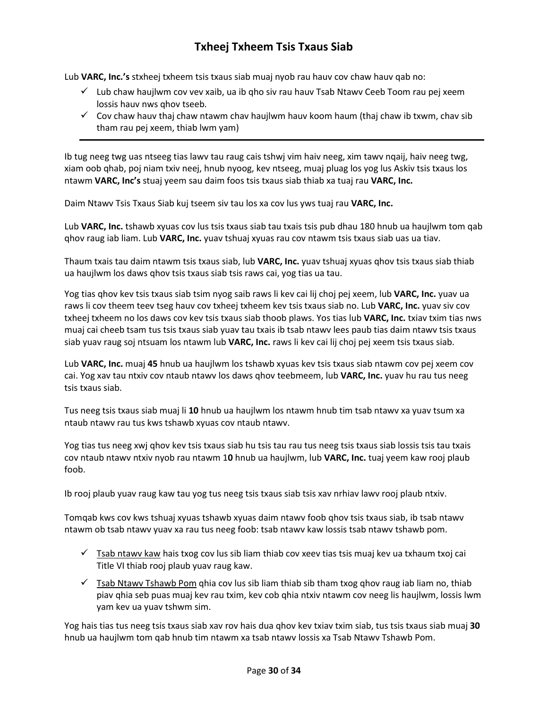## **Txheej Txheem Tsis Txaus Siab**

Lub **VARC, Inc.'s** stxheej txheem tsis txaus siab muaj nyob rau hauv cov chaw hauv qab no:

- $\checkmark$  Lub chaw haujlwm cov vev xaib, ua ib qho siv rau hauv Tsab Ntawv Ceeb Toom rau pej xeem lossis hauv nws qhov tseeb.
- $\checkmark$  Cov chaw hauv thaj chaw ntawm chav haujlwm hauv koom haum (thaj chaw ib txwm, chav sib tham rau pej xeem, thiab lwm yam)

Ib tug neeg twg uas ntseeg tias lawv tau raug cais tshwj vim haiv neeg, xim tawv nqaij, haiv neeg twg, xiam oob qhab, poj niam txiv neej, hnub nyoog, kev ntseeg, muaj pluag los yog lus Askiv tsis txaus los ntawm **VARC, Inc's** stuaj yeem sau daim foos tsis txaus siab thiab xa tuaj rau **VARC, Inc.** 

Daim Ntawv Tsis Txaus Siab kuj tseem siv tau los xa cov lus yws tuaj rau **VARC, Inc.** 

Lub **VARC, Inc.** tshawb xyuas cov lus tsis txaus siab tau txais tsis pub dhau 180 hnub ua haujlwm tom qab qhov raug iab liam. Lub **VARC, Inc.** yuav tshuaj xyuas rau cov ntawm tsis txaus siab uas ua tiav.

Thaum txais tau daim ntawm tsis txaus siab, lub **VARC, Inc.** yuav tshuaj xyuas qhov tsis txaus siab thiab ua haujlwm los daws qhov tsis txaus siab tsis raws cai, yog tias ua tau.

Yog tias qhov kev tsis txaus siab tsim nyog saib raws li kev cai lij choj pej xeem, lub **VARC, Inc.** yuav ua raws li cov theem teev tseg hauv cov txheej txheem kev tsis txaus siab no. Lub **VARC, Inc.** yuav siv cov txheej txheem no los daws cov kev tsis txaus siab thoob plaws. Yos tias lub **VARC, Inc.** txiav txim tias nws muaj cai cheeb tsam tus tsis txaus siab yuav tau txais ib tsab ntawv lees paub tias daim ntawv tsis txaus siab yuav raug soj ntsuam los ntawm lub **VARC, Inc.** raws li kev cai lij choj pej xeem tsis txaus siab.

Lub **VARC, Inc.** muaj **45** hnub ua haujlwm los tshawb xyuas kev tsis txaus siab ntawm cov pej xeem cov cai. Yog xav tau ntxiv cov ntaub ntawv los daws qhov teebmeem, lub **VARC, Inc.** yuav hu rau tus neeg tsis txaus siab.

Tus neeg tsis txaus siab muaj li **10** hnub ua haujlwm los ntawm hnub tim tsab ntawv xa yuav tsum xa ntaub ntawv rau tus kws tshawb xyuas cov ntaub ntawv.

Yog tias tus neeg xwj qhov kev tsis txaus siab hu tsis tau rau tus neeg tsis txaus siab lossis tsis tau txais cov ntaub ntawv ntxiv nyob rau ntawm 1**0** hnub ua haujlwm, lub **VARC, Inc.** tuaj yeem kaw rooj plaub foob.

Ib rooj plaub yuav raug kaw tau yog tus neeg tsis txaus siab tsis xav nrhiav lawv rooj plaub ntxiv.

Tomqab kws cov kws tshuaj xyuas tshawb xyuas daim ntawv foob qhov tsis txaus siab, ib tsab ntawv ntawm ob tsab ntawv yuav xa rau tus neeg foob: tsab ntawv kaw lossis tsab ntawv tshawb pom.

- $\checkmark$  Tsab ntawy kaw hais txog cov lus sib liam thiab cov xeev tias tsis muaj kev ua txhaum txoj cai Title VI thiab rooj plaub yuav raug kaw.
- $\checkmark$  Tsab Ntawv Tshawb Pom ghia cov lus sib liam thiab sib tham txog ghov raug iab liam no, thiab piav qhia seb puas muaj kev rau txim, kev cob qhia ntxiv ntawm cov neeg lis haujlwm, lossis lwm yam kev ua yuav tshwm sim.

Yog hais tias tus neeg tsis txaus siab xav rov hais dua qhov kev txiav txim siab, tus tsis txaus siab muaj **30** hnub ua haujlwm tom qab hnub tim ntawm xa tsab ntawv lossis xa Tsab Ntawv Tshawb Pom.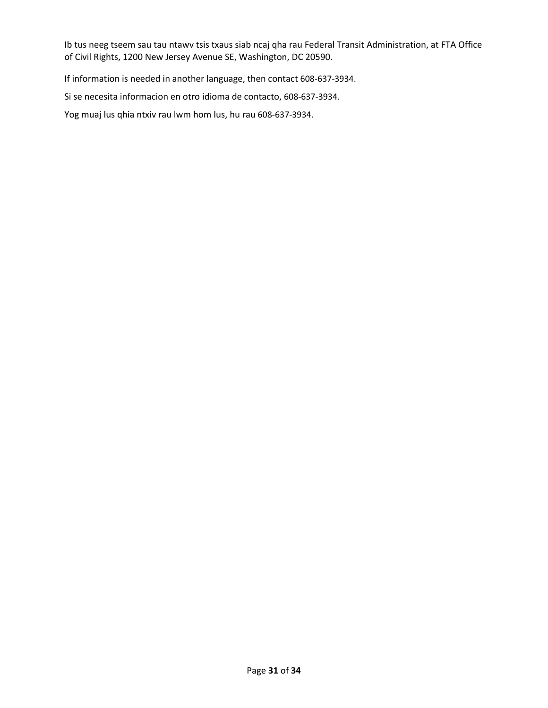Ib tus neeg tseem sau tau ntawv tsis txaus siab ncaj qha rau Federal Transit Administration, at FTA Office of Civil Rights, 1200 New Jersey Avenue SE, Washington, DC 20590.

If information is needed in another language, then contact 608-637-3934.

Si se necesita informacion en otro idioma de contacto, 608-637-3934.

Yog muaj lus qhia ntxiv rau lwm hom lus, hu rau 608-637-3934.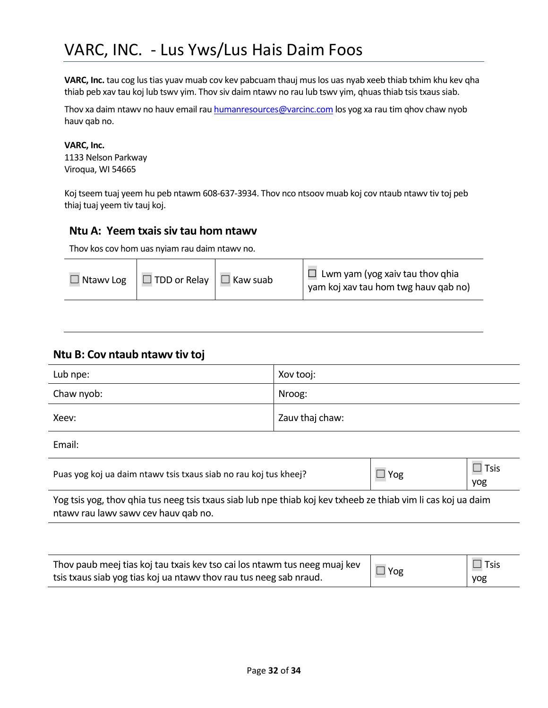**VARC, Inc.** tau cog lus tias yuav muab cov kev pabcuam thauj mus los uas nyab xeeb thiab txhim khu kev qha thiab peb xav tau koj lub tswv yim. Thov siv daim ntawv no rau lub tswv yim, qhuas thiab tsis txaus siab.

Thov xa daim ntawv no hauv email ra[u humanresources@varcinc.com](mailto:humanresources@varcinc.com) los yog xa rau tim qhov chaw nyob hauv qab no.

#### **VARC, Inc.**

1133 Nelson Parkway Viroqua, WI 54665

Koj tseem tuaj yeem hu peb ntawm 608-637-3934. Thov nco ntsoov muab koj cov ntaub ntawv tiv toj peb thiaj tuaj yeem tiv tauj koj.

#### **Ntu A: Yeem txais siv tau hom ntawv**

Thov kos cov hom uas nyiam rau daim ntawv no.

|  | $\Box$ Ntawy Log $\Box$ TDD or Relay $\Box$ Kaw suab |  | $\Box$ Lwm yam (yog xaiv tau thov qhia<br>yam koj xav tau hom twg hauv qab no) |
|--|------------------------------------------------------|--|--------------------------------------------------------------------------------|
|--|------------------------------------------------------|--|--------------------------------------------------------------------------------|

#### **Ntu B: Cov ntaub ntawv tiv toj**

| Lub npe:   | Xov tooj:       |
|------------|-----------------|
| Chaw nyob: | Nroog:          |
| Xeev:      | Zauv thaj chaw: |

Email:

| Puas yog koj ua daim ntawy tsis txaus siab no rau koj tus kheej? | Yog | $\square$ Tsis<br>yog |
|------------------------------------------------------------------|-----|-----------------------|
|                                                                  |     |                       |

Yog tsis yog, thov qhia tus neeg tsis txaus siab lub npe thiab koj kev txheeb ze thiab vim li cas koj ua daim ntawv rau lawv sawv cev hauv qab no.

| Thov paub meej tias koj tau txais kev tso cai los ntawm tus neeg muaj kev | $\nabla$ Yog | $\Box$ Tsis |
|---------------------------------------------------------------------------|--------------|-------------|
| tsis txaus siab yog tias koj ua ntawv thov rau tus neeg sab nraud.        |              | yog         |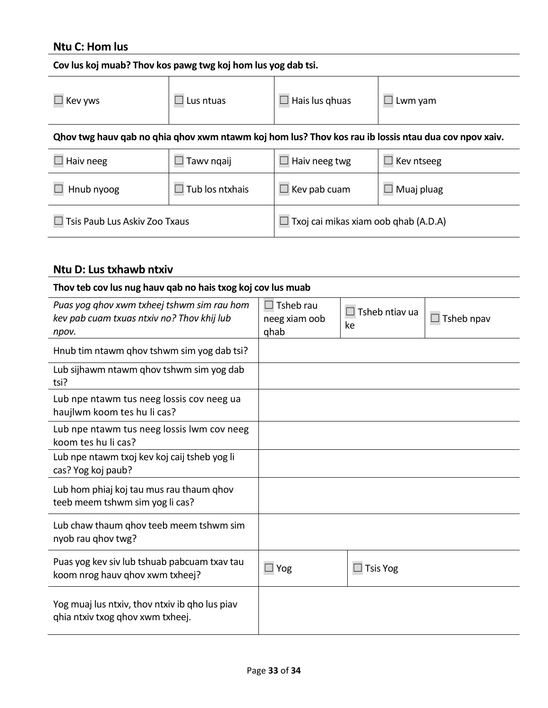## **Ntu C: Hom lus**

| Cov lus koj muab? Thov kos pawg twg koj hom lus yog dab tsi.                                         |                        |                                      |         |  |  |
|------------------------------------------------------------------------------------------------------|------------------------|--------------------------------------|---------|--|--|
| Kev yws                                                                                              | $\Box$ Lus ntuas       | $\Box$ Hais lus ghuas                | Lwm yam |  |  |
| Ohov twg hauv qab no qhia qhov xwm ntawm koj hom lus? Thov kos rau ib lossis ntau dua cov npov xaiv. |                        |                                      |         |  |  |
| Haiv neeg                                                                                            | Tawy ngaij             | Haiv neeg twg<br>Kev ntseeg          |         |  |  |
| Hnub nyoog                                                                                           | $\Box$ Tub los ntxhais | $\Box$ Muaj pluag<br>Kev pab cuam    |         |  |  |
| Tsis Paub Lus Askiv Zoo Txaus                                                                        |                        | Txoj cai mikas xiam oob qhab (A.D.A) |         |  |  |

## **Ntu D: Lus txhawb ntxiv**

| Thov teb cov lus nug hauv qab no hais txog koj cov lus muab                                       |                                           |                             |            |
|---------------------------------------------------------------------------------------------------|-------------------------------------------|-----------------------------|------------|
| Puas yog qhov xwm txheej tshwm sim rau hom<br>kev pab cuam txuas ntxiv no? Thov khij lub<br>npov. | $\Box$ Tsheb rau<br>neeg xiam oob<br>ghab | $\Box$ Tsheb ntiav ua<br>ke | Tsheb npav |
| Hnub tim ntawm qhov tshwm sim yog dab tsi?                                                        |                                           |                             |            |
| Lub sijhawm ntawm ghov tshwm sim yog dab<br>tsi?                                                  |                                           |                             |            |
| Lub npe ntawm tus neeg lossis cov neeg ua<br>haujlwm koom tes hu li cas?                          |                                           |                             |            |
| Lub npe ntawm tus neeg lossis lwm cov neeg<br>koom tes hu li cas?                                 |                                           |                             |            |
| Lub npe ntawm txoj kev koj caij tsheb yog li<br>cas? Yog koj paub?                                |                                           |                             |            |
| Lub hom phiaj koj tau mus rau thaum qhov<br>teeb meem tshwm sim yog li cas?                       |                                           |                             |            |
| Lub chaw thaum ghov teeb meem tshwm sim<br>nyob rau qhov twg?                                     |                                           |                             |            |
| Puas yog kev siv lub tshuab pabcuam txav tau<br>koom nrog hauv qhov xwm txheej?                   | $\Box$ Yog                                | $\Box$ Tsis Yog             |            |
| Yog muaj lus ntxiv, thov ntxiv ib gho lus piav<br>ghia ntxiv txog ghov xwm txheej.                |                                           |                             |            |